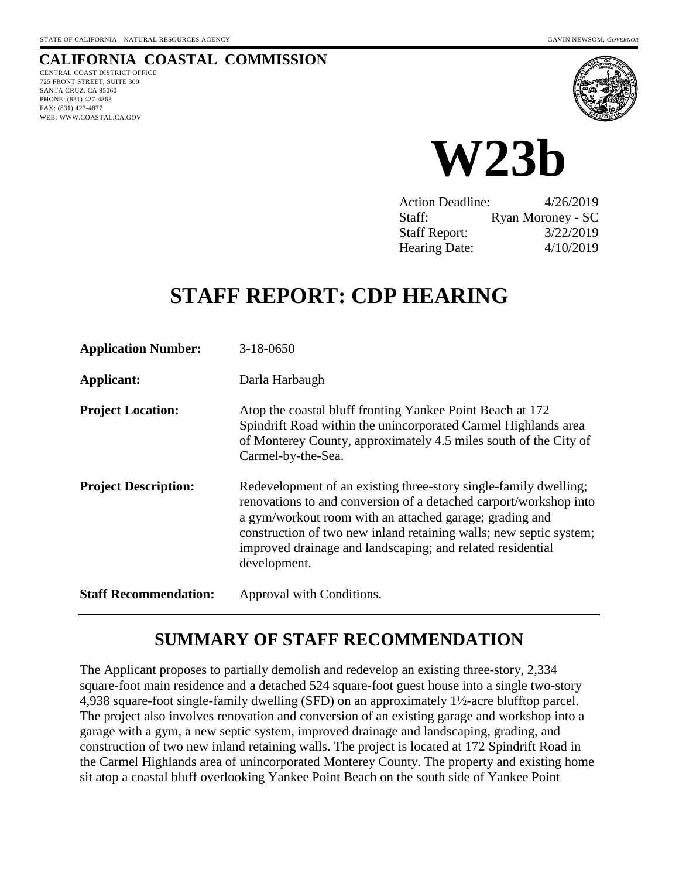## **CALIFORNIA COASTAL COMMISSION**

CENTRAL COAST DISTRICT OFFICE 725 FRONT STREET, SUITE 300 SANTA CRUZ, CA 95060 PHONE: (831) 427-4863 FAX: (831) 427-4877 WEB: WWW.COASTAL.CA.GOV





| <b>Action Deadline:</b> | 4/26/2019         |
|-------------------------|-------------------|
| Staff:                  | Ryan Moroney - SC |
| <b>Staff Report:</b>    | 3/22/2019         |
| <b>Hearing Date:</b>    | 4/10/2019         |

# **STAFF REPORT: CDP HEARING**

| <b>Application Number:</b>   | 3-18-0650                                                                                                                                                                                                                                                                                                                                            |
|------------------------------|------------------------------------------------------------------------------------------------------------------------------------------------------------------------------------------------------------------------------------------------------------------------------------------------------------------------------------------------------|
| Applicant:                   | Darla Harbaugh                                                                                                                                                                                                                                                                                                                                       |
| <b>Project Location:</b>     | Atop the coastal bluff fronting Yankee Point Beach at 172<br>Spindrift Road within the unincorporated Carmel Highlands area<br>of Monterey County, approximately 4.5 miles south of the City of<br>Carmel-by-the-Sea.                                                                                                                                |
| <b>Project Description:</b>  | Redevelopment of an existing three-story single-family dwelling;<br>renovations to and conversion of a detached carport/workshop into<br>a gym/workout room with an attached garage; grading and<br>construction of two new inland retaining walls; new septic system;<br>improved drainage and landscaping; and related residential<br>development. |
| <b>Staff Recommendation:</b> | Approval with Conditions.                                                                                                                                                                                                                                                                                                                            |

# **SUMMARY OF STAFF RECOMMENDATION**

The Applicant proposes to partially demolish and redevelop an existing three-story, 2,334 square-foot main residence and a detached 524 square-foot guest house into a single two-story 4,938 square-foot single-family dwelling (SFD) on an approximately 1½-acre blufftop parcel. The project also involves renovation and conversion of an existing garage and workshop into a garage with a gym, a new septic system, improved drainage and landscaping, grading, and construction of two new inland retaining walls. The project is located at 172 Spindrift Road in the Carmel Highlands area of unincorporated Monterey County. The property and existing home sit atop a coastal bluff overlooking Yankee Point Beach on the south side of Yankee Point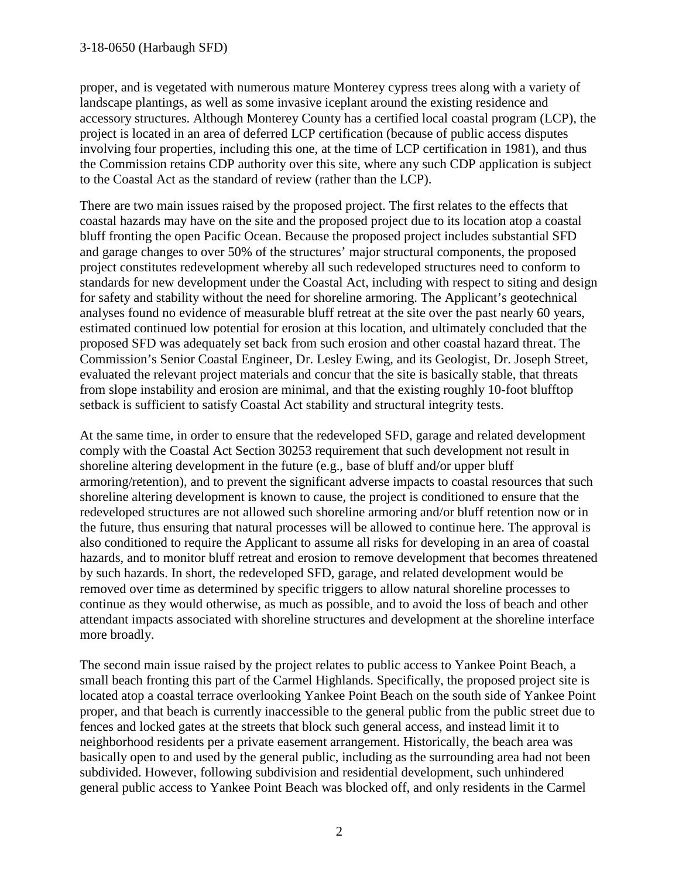proper, and is vegetated with numerous mature Monterey cypress trees along with a variety of landscape plantings, as well as some invasive iceplant around the existing residence and accessory structures. Although Monterey County has a certified local coastal program (LCP), the project is located in an area of deferred LCP certification (because of public access disputes involving four properties, including this one, at the time of LCP certification in 1981), and thus the Commission retains CDP authority over this site, where any such CDP application is subject to the Coastal Act as the standard of review (rather than the LCP).

There are two main issues raised by the proposed project. The first relates to the effects that coastal hazards may have on the site and the proposed project due to its location atop a coastal bluff fronting the open Pacific Ocean. Because the proposed project includes substantial SFD and garage changes to over 50% of the structures' major structural components, the proposed project constitutes redevelopment whereby all such redeveloped structures need to conform to standards for new development under the Coastal Act, including with respect to siting and design for safety and stability without the need for shoreline armoring. The Applicant's geotechnical analyses found no evidence of measurable bluff retreat at the site over the past nearly 60 years, estimated continued low potential for erosion at this location, and ultimately concluded that the proposed SFD was adequately set back from such erosion and other coastal hazard threat. The Commission's Senior Coastal Engineer, Dr. Lesley Ewing, and its Geologist, Dr. Joseph Street, evaluated the relevant project materials and concur that the site is basically stable, that threats from slope instability and erosion are minimal, and that the existing roughly 10-foot blufftop setback is sufficient to satisfy Coastal Act stability and structural integrity tests.

At the same time, in order to ensure that the redeveloped SFD, garage and related development comply with the Coastal Act Section 30253 requirement that such development not result in shoreline altering development in the future (e.g., base of bluff and/or upper bluff armoring/retention), and to prevent the significant adverse impacts to coastal resources that such shoreline altering development is known to cause, the project is conditioned to ensure that the redeveloped structures are not allowed such shoreline armoring and/or bluff retention now or in the future, thus ensuring that natural processes will be allowed to continue here. The approval is also conditioned to require the Applicant to assume all risks for developing in an area of coastal hazards, and to monitor bluff retreat and erosion to remove development that becomes threatened by such hazards. In short, the redeveloped SFD, garage, and related development would be removed over time as determined by specific triggers to allow natural shoreline processes to continue as they would otherwise, as much as possible, and to avoid the loss of beach and other attendant impacts associated with shoreline structures and development at the shoreline interface more broadly.

The second main issue raised by the project relates to public access to Yankee Point Beach, a small beach fronting this part of the Carmel Highlands. Specifically, the proposed project site is located atop a coastal terrace overlooking Yankee Point Beach on the south side of Yankee Point proper, and that beach is currently inaccessible to the general public from the public street due to fences and locked gates at the streets that block such general access, and instead limit it to neighborhood residents per a private easement arrangement. Historically, the beach area was basically open to and used by the general public, including as the surrounding area had not been subdivided. However, following subdivision and residential development, such unhindered general public access to Yankee Point Beach was blocked off, and only residents in the Carmel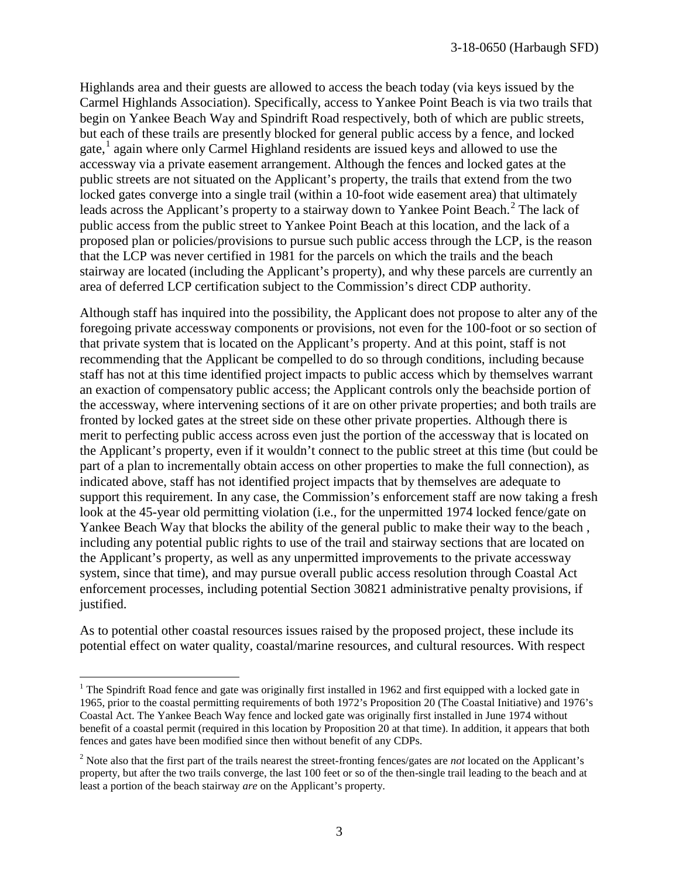Highlands area and their guests are allowed to access the beach today (via keys issued by the Carmel Highlands Association). Specifically, access to Yankee Point Beach is via two trails that begin on Yankee Beach Way and Spindrift Road respectively, both of which are public streets, but each of these trails are presently blocked for general public access by a fence, and locked gate, $<sup>1</sup>$  $<sup>1</sup>$  $<sup>1</sup>$  again where only Carmel Highland residents are issued keys and allowed to use the</sup> accessway via a private easement arrangement. Although the fences and locked gates at the public streets are not situated on the Applicant's property, the trails that extend from the two locked gates converge into a single trail (within a 10-foot wide easement area) that ultimately leads across the Applicant's property to a stairway down to Yankee Point Beach.<sup>[2](#page-2-1)</sup> The lack of public access from the public street to Yankee Point Beach at this location, and the lack of a proposed plan or policies/provisions to pursue such public access through the LCP, is the reason that the LCP was never certified in 1981 for the parcels on which the trails and the beach stairway are located (including the Applicant's property), and why these parcels are currently an area of deferred LCP certification subject to the Commission's direct CDP authority.

Although staff has inquired into the possibility, the Applicant does not propose to alter any of the foregoing private accessway components or provisions, not even for the 100-foot or so section of that private system that is located on the Applicant's property. And at this point, staff is not recommending that the Applicant be compelled to do so through conditions, including because staff has not at this time identified project impacts to public access which by themselves warrant an exaction of compensatory public access; the Applicant controls only the beachside portion of the accessway, where intervening sections of it are on other private properties; and both trails are fronted by locked gates at the street side on these other private properties. Although there is merit to perfecting public access across even just the portion of the accessway that is located on the Applicant's property, even if it wouldn't connect to the public street at this time (but could be part of a plan to incrementally obtain access on other properties to make the full connection), as indicated above, staff has not identified project impacts that by themselves are adequate to support this requirement. In any case, the Commission's enforcement staff are now taking a fresh look at the 45-year old permitting violation (i.e., for the unpermitted 1974 locked fence/gate on Yankee Beach Way that blocks the ability of the general public to make their way to the beach , including any potential public rights to use of the trail and stairway sections that are located on the Applicant's property, as well as any unpermitted improvements to the private accessway system, since that time), and may pursue overall public access resolution through Coastal Act enforcement processes, including potential Section 30821 administrative penalty provisions, if justified.

As to potential other coastal resources issues raised by the proposed project, these include its potential effect on water quality, coastal/marine resources, and cultural resources. With respect

<span id="page-2-0"></span> $\overline{a}$  $1$  The Spindrift Road fence and gate was originally first installed in 1962 and first equipped with a locked gate in 1965, prior to the coastal permitting requirements of both 1972's Proposition 20 (The Coastal Initiative) and 1976's Coastal Act. The Yankee Beach Way fence and locked gate was originally first installed in June 1974 without benefit of a coastal permit (required in this location by Proposition 20 at that time). In addition, it appears that both fences and gates have been modified since then without benefit of any CDPs.

<span id="page-2-1"></span><sup>2</sup> Note also that the first part of the trails nearest the street-fronting fences/gates are *not* located on the Applicant's property, but after the two trails converge, the last 100 feet or so of the then-single trail leading to the beach and at least a portion of the beach stairway *are* on the Applicant's property.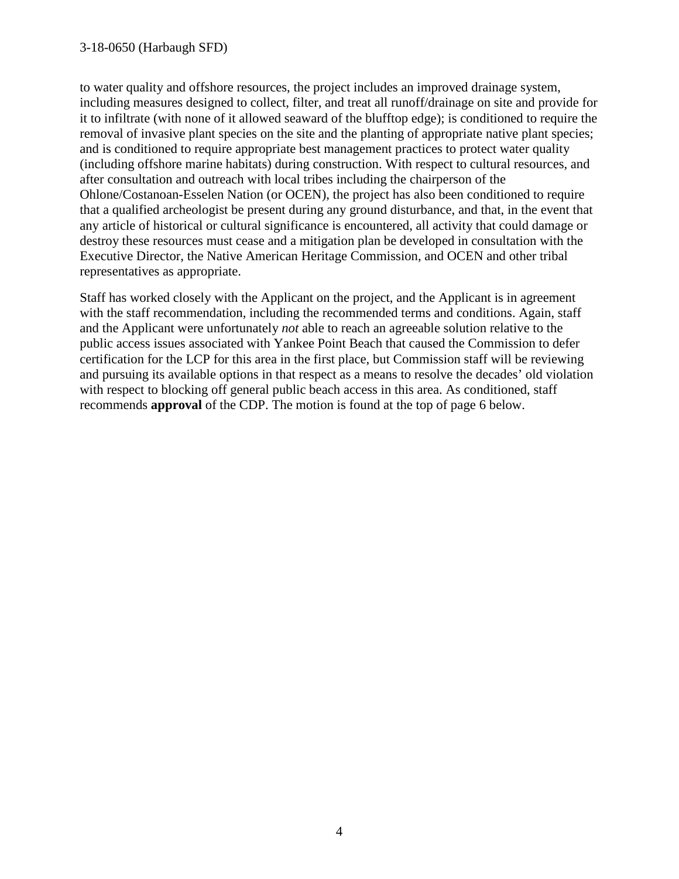to water quality and offshore resources, the project includes an improved drainage system, including measures designed to collect, filter, and treat all runoff/drainage on site and provide for it to infiltrate (with none of it allowed seaward of the blufftop edge); is conditioned to require the removal of invasive plant species on the site and the planting of appropriate native plant species; and is conditioned to require appropriate best management practices to protect water quality (including offshore marine habitats) during construction. With respect to cultural resources, and after consultation and outreach with local tribes including the chairperson of the Ohlone/Costanoan-Esselen Nation (or OCEN), the project has also been conditioned to require that a qualified archeologist be present during any ground disturbance, and that, in the event that any article of historical or cultural significance is encountered, all activity that could damage or destroy these resources must cease and a mitigation plan be developed in consultation with the Executive Director, the Native American Heritage Commission, and OCEN and other tribal representatives as appropriate.

Staff has worked closely with the Applicant on the project, and the Applicant is in agreement with the staff recommendation, including the recommended terms and conditions. Again, staff and the Applicant were unfortunately *not* able to reach an agreeable solution relative to the public access issues associated with Yankee Point Beach that caused the Commission to defer certification for the LCP for this area in the first place, but Commission staff will be reviewing and pursuing its available options in that respect as a means to resolve the decades' old violation with respect to blocking off general public beach access in this area. As conditioned, staff recommends **approval** of the CDP. The motion is found at the top of page 6 below.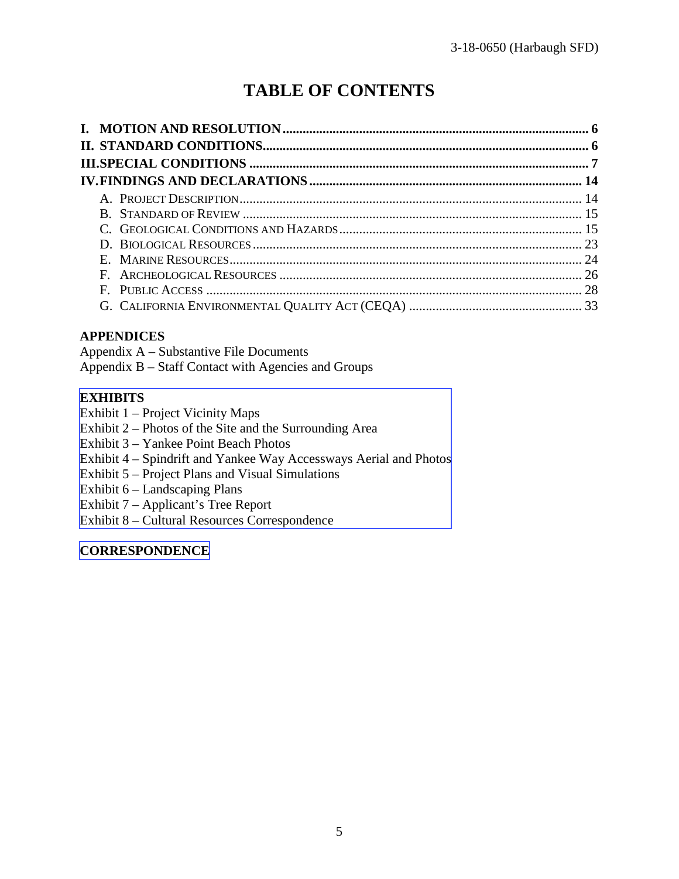# **TABLE OF CONTENTS**

### **APPENDICES**

Appendix A – Substantive File Documents Appendix B – Staff Contact with Agencies and Groups

### **EXHIBITS**

Exhibit 1 – Project Vicinity Maps

- Exhibit 2 Photos of the Site and the Surrounding Area
- Exhibit 3 Yankee Point Beach Photos
- [Exhibit 4 Spindrift and Yankee Way Accessways Aerial and Photos](https://documents.coastal.ca.gov/reports/2019/4/W23b/W23b-4-2019-exhibits.pdf)
- Exhibit 5 Project Plans and Visual Simulations
- Exhibit 6 Landscaping Plans
- Exhibit 7 Applicant's Tree Report
- Exhibit 8 Cultural Resources Correspondence

#### **[CORRESPONDENCE](https://documents.coastal.ca.gov/reports/2019/4/W23b/W23b-4-2019-corresp.pdf)**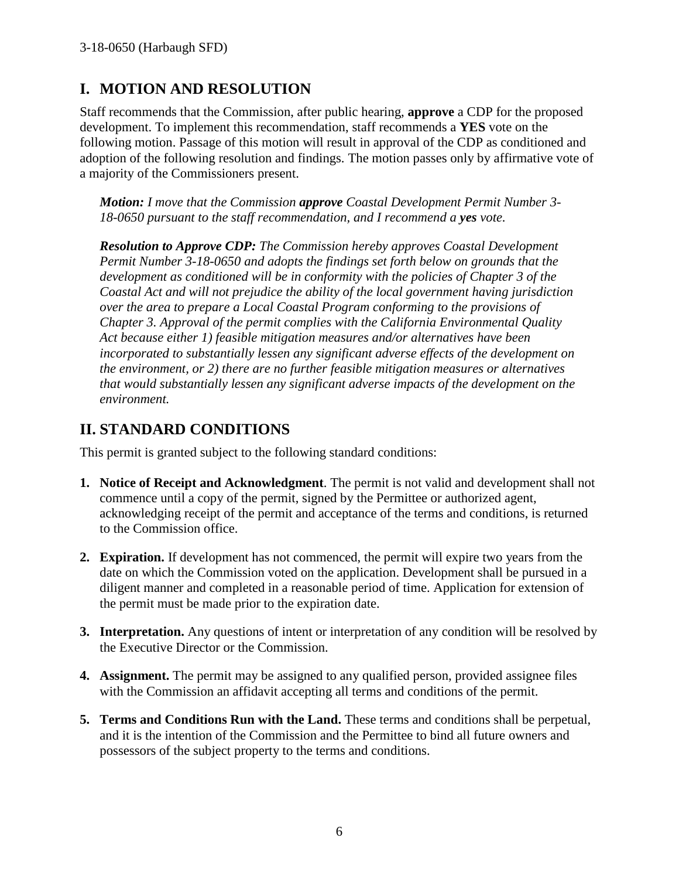# **I. MOTION AND RESOLUTION**

Staff recommends that the Commission, after public hearing, **approve** a CDP for the proposed development. To implement this recommendation, staff recommends a **YES** vote on the following motion. Passage of this motion will result in approval of the CDP as conditioned and adoption of the following resolution and findings. The motion passes only by affirmative vote of a majority of the Commissioners present.

*Motion: I move that the Commission approve Coastal Development Permit Number 3- 18-0650 pursuant to the staff recommendation, and I recommend a yes vote.* 

*Resolution to Approve CDP: The Commission hereby approves Coastal Development Permit Number 3-18-0650 and adopts the findings set forth below on grounds that the development as conditioned will be in conformity with the policies of Chapter 3 of the Coastal Act and will not prejudice the ability of the local government having jurisdiction over the area to prepare a Local Coastal Program conforming to the provisions of Chapter 3. Approval of the permit complies with the California Environmental Quality Act because either 1) feasible mitigation measures and/or alternatives have been incorporated to substantially lessen any significant adverse effects of the development on the environment, or 2) there are no further feasible mitigation measures or alternatives that would substantially lessen any significant adverse impacts of the development on the environment.* 

# **II. STANDARD CONDITIONS**

This permit is granted subject to the following standard conditions:

- **1. Notice of Receipt and Acknowledgment**. The permit is not valid and development shall not commence until a copy of the permit, signed by the Permittee or authorized agent, acknowledging receipt of the permit and acceptance of the terms and conditions, is returned to the Commission office.
- **2. Expiration.** If development has not commenced, the permit will expire two years from the date on which the Commission voted on the application. Development shall be pursued in a diligent manner and completed in a reasonable period of time. Application for extension of the permit must be made prior to the expiration date.
- **3. Interpretation.** Any questions of intent or interpretation of any condition will be resolved by the Executive Director or the Commission.
- **4. Assignment.** The permit may be assigned to any qualified person, provided assignee files with the Commission an affidavit accepting all terms and conditions of the permit.
- **5. Terms and Conditions Run with the Land.** These terms and conditions shall be perpetual, and it is the intention of the Commission and the Permittee to bind all future owners and possessors of the subject property to the terms and conditions.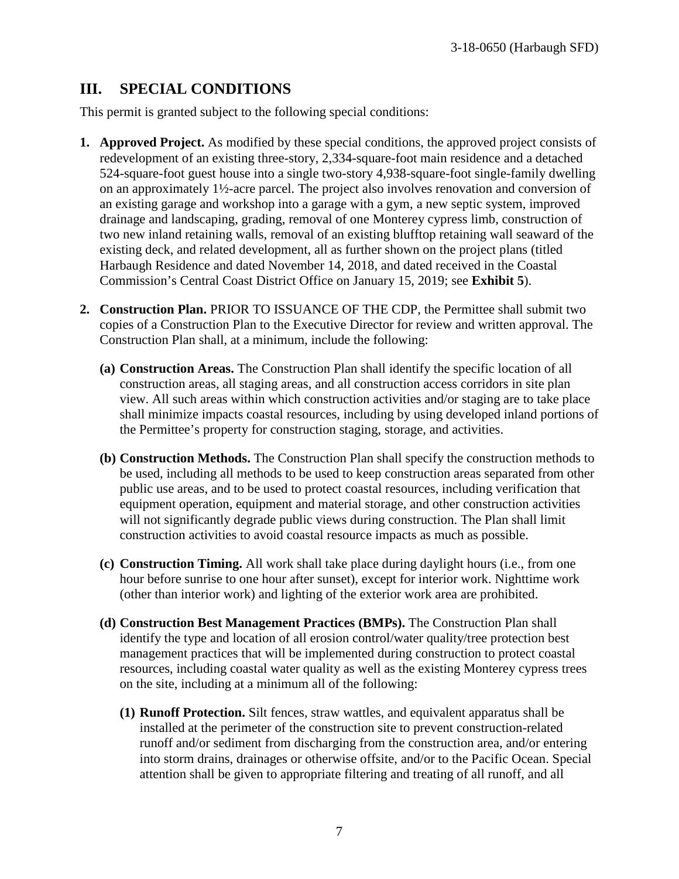# **III. SPECIAL CONDITIONS**

This permit is granted subject to the following special conditions:

- **1. Approved Project.** As modified by these special conditions, the approved project consists of redevelopment of an existing three-story, 2,334-square-foot main residence and a detached 524-square-foot guest house into a single two-story 4,938-square-foot single-family dwelling on an approximately 1½-acre parcel. The project also involves renovation and conversion of an existing garage and workshop into a garage with a gym, a new septic system, improved drainage and landscaping, grading, removal of one Monterey cypress limb, construction of two new inland retaining walls, removal of an existing blufftop retaining wall seaward of the existing deck, and related development, all as further shown on the project plans (titled Harbaugh Residence and dated November 14, 2018, and dated received in the Coastal Commission's Central Coast District Office on January 15, 2019; see **Exhibit 5**).
- **2. Construction Plan.** PRIOR TO ISSUANCE OF THE CDP, the Permittee shall submit two copies of a Construction Plan to the Executive Director for review and written approval. The Construction Plan shall, at a minimum, include the following:
	- **(a) Construction Areas.** The Construction Plan shall identify the specific location of all construction areas, all staging areas, and all construction access corridors in site plan view. All such areas within which construction activities and/or staging are to take place shall minimize impacts coastal resources, including by using developed inland portions of the Permittee's property for construction staging, storage, and activities.
	- **(b) Construction Methods.** The Construction Plan shall specify the construction methods to be used, including all methods to be used to keep construction areas separated from other public use areas, and to be used to protect coastal resources, including verification that equipment operation, equipment and material storage, and other construction activities will not significantly degrade public views during construction. The Plan shall limit construction activities to avoid coastal resource impacts as much as possible.
	- **(c) Construction Timing.** All work shall take place during daylight hours (i.e., from one hour before sunrise to one hour after sunset), except for interior work. Nighttime work (other than interior work) and lighting of the exterior work area are prohibited.
	- **(d) Construction Best Management Practices (BMPs).** The Construction Plan shall identify the type and location of all erosion control/water quality/tree protection best management practices that will be implemented during construction to protect coastal resources, including coastal water quality as well as the existing Monterey cypress trees on the site, including at a minimum all of the following:
		- **(1) Runoff Protection.** Silt fences, straw wattles, and equivalent apparatus shall be installed at the perimeter of the construction site to prevent construction-related runoff and/or sediment from discharging from the construction area, and/or entering into storm drains, drainages or otherwise offsite, and/or to the Pacific Ocean. Special attention shall be given to appropriate filtering and treating of all runoff, and all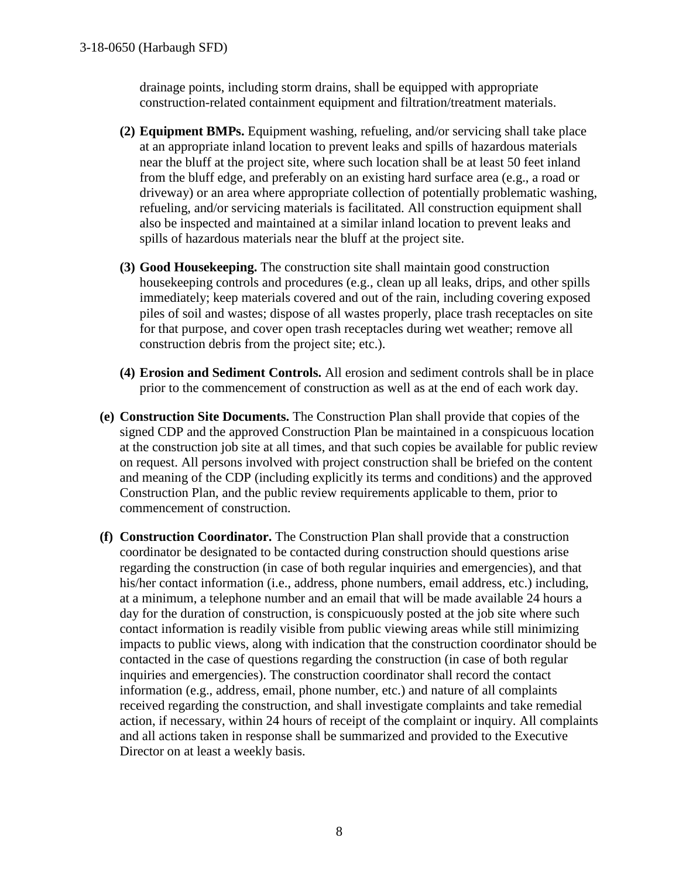drainage points, including storm drains, shall be equipped with appropriate construction-related containment equipment and filtration/treatment materials.

- **(2) Equipment BMPs.** Equipment washing, refueling, and/or servicing shall take place at an appropriate inland location to prevent leaks and spills of hazardous materials near the bluff at the project site, where such location shall be at least 50 feet inland from the bluff edge, and preferably on an existing hard surface area (e.g., a road or driveway) or an area where appropriate collection of potentially problematic washing, refueling, and/or servicing materials is facilitated. All construction equipment shall also be inspected and maintained at a similar inland location to prevent leaks and spills of hazardous materials near the bluff at the project site.
- **(3) Good Housekeeping.** The construction site shall maintain good construction housekeeping controls and procedures (e.g., clean up all leaks, drips, and other spills immediately; keep materials covered and out of the rain, including covering exposed piles of soil and wastes; dispose of all wastes properly, place trash receptacles on site for that purpose, and cover open trash receptacles during wet weather; remove all construction debris from the project site; etc.).
- **(4) Erosion and Sediment Controls.** All erosion and sediment controls shall be in place prior to the commencement of construction as well as at the end of each work day.
- **(e) Construction Site Documents.** The Construction Plan shall provide that copies of the signed CDP and the approved Construction Plan be maintained in a conspicuous location at the construction job site at all times, and that such copies be available for public review on request. All persons involved with project construction shall be briefed on the content and meaning of the CDP (including explicitly its terms and conditions) and the approved Construction Plan, and the public review requirements applicable to them, prior to commencement of construction.
- **(f) Construction Coordinator.** The Construction Plan shall provide that a construction coordinator be designated to be contacted during construction should questions arise regarding the construction (in case of both regular inquiries and emergencies), and that his/her contact information (i.e., address, phone numbers, email address, etc.) including, at a minimum, a telephone number and an email that will be made available 24 hours a day for the duration of construction, is conspicuously posted at the job site where such contact information is readily visible from public viewing areas while still minimizing impacts to public views, along with indication that the construction coordinator should be contacted in the case of questions regarding the construction (in case of both regular inquiries and emergencies). The construction coordinator shall record the contact information (e.g., address, email, phone number, etc.) and nature of all complaints received regarding the construction, and shall investigate complaints and take remedial action, if necessary, within 24 hours of receipt of the complaint or inquiry. All complaints and all actions taken in response shall be summarized and provided to the Executive Director on at least a weekly basis.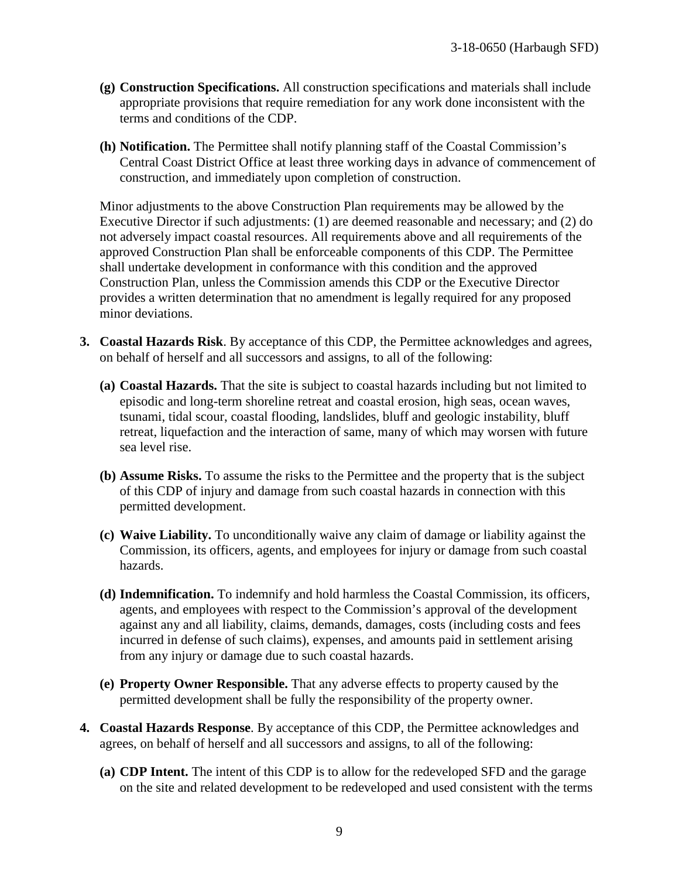- **(g) Construction Specifications.** All construction specifications and materials shall include appropriate provisions that require remediation for any work done inconsistent with the terms and conditions of the CDP.
- **(h) Notification.** The Permittee shall notify planning staff of the Coastal Commission's Central Coast District Office at least three working days in advance of commencement of construction, and immediately upon completion of construction.

Minor adjustments to the above Construction Plan requirements may be allowed by the Executive Director if such adjustments: (1) are deemed reasonable and necessary; and (2) do not adversely impact coastal resources. All requirements above and all requirements of the approved Construction Plan shall be enforceable components of this CDP. The Permittee shall undertake development in conformance with this condition and the approved Construction Plan, unless the Commission amends this CDP or the Executive Director provides a written determination that no amendment is legally required for any proposed minor deviations.

- **3. Coastal Hazards Risk**. By acceptance of this CDP, the Permittee acknowledges and agrees, on behalf of herself and all successors and assigns, to all of the following:
	- **(a) Coastal Hazards.** That the site is subject to coastal hazards including but not limited to episodic and long-term shoreline retreat and coastal erosion, high seas, ocean waves, tsunami, tidal scour, coastal flooding, landslides, bluff and geologic instability, bluff retreat, liquefaction and the interaction of same, many of which may worsen with future sea level rise.
	- **(b) Assume Risks.** To assume the risks to the Permittee and the property that is the subject of this CDP of injury and damage from such coastal hazards in connection with this permitted development.
	- **(c) Waive Liability.** To unconditionally waive any claim of damage or liability against the Commission, its officers, agents, and employees for injury or damage from such coastal hazards.
	- **(d) Indemnification.** To indemnify and hold harmless the Coastal Commission, its officers, agents, and employees with respect to the Commission's approval of the development against any and all liability, claims, demands, damages, costs (including costs and fees incurred in defense of such claims), expenses, and amounts paid in settlement arising from any injury or damage due to such coastal hazards.
	- **(e) Property Owner Responsible.** That any adverse effects to property caused by the permitted development shall be fully the responsibility of the property owner.
- **4. Coastal Hazards Response**. By acceptance of this CDP, the Permittee acknowledges and agrees, on behalf of herself and all successors and assigns, to all of the following:
	- **(a) CDP Intent.** The intent of this CDP is to allow for the redeveloped SFD and the garage on the site and related development to be redeveloped and used consistent with the terms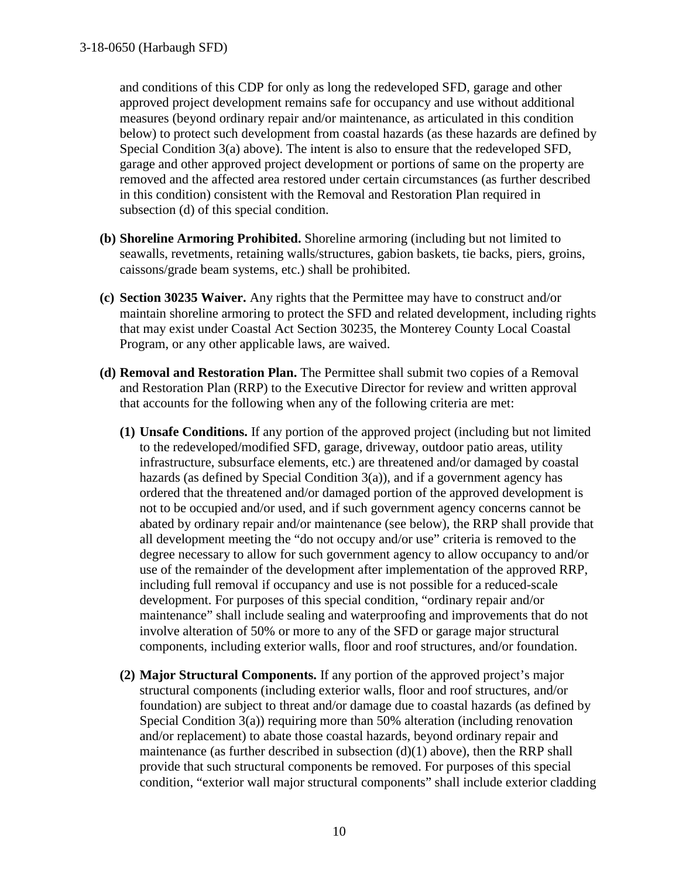and conditions of this CDP for only as long the redeveloped SFD, garage and other approved project development remains safe for occupancy and use without additional measures (beyond ordinary repair and/or maintenance, as articulated in this condition below) to protect such development from coastal hazards (as these hazards are defined by Special Condition 3(a) above). The intent is also to ensure that the redeveloped SFD, garage and other approved project development or portions of same on the property are removed and the affected area restored under certain circumstances (as further described in this condition) consistent with the Removal and Restoration Plan required in subsection (d) of this special condition.

- **(b) Shoreline Armoring Prohibited.** Shoreline armoring (including but not limited to seawalls, revetments, retaining walls/structures, gabion baskets, tie backs, piers, groins, caissons/grade beam systems, etc.) shall be prohibited.
- **(c) Section 30235 Waiver.** Any rights that the Permittee may have to construct and/or maintain shoreline armoring to protect the SFD and related development, including rights that may exist under Coastal Act Section 30235, the Monterey County Local Coastal Program, or any other applicable laws, are waived.
- **(d) Removal and Restoration Plan.** The Permittee shall submit two copies of a Removal and Restoration Plan (RRP) to the Executive Director for review and written approval that accounts for the following when any of the following criteria are met:
	- **(1) Unsafe Conditions.** If any portion of the approved project (including but not limited to the redeveloped/modified SFD, garage, driveway, outdoor patio areas, utility infrastructure, subsurface elements, etc.) are threatened and/or damaged by coastal hazards (as defined by Special Condition 3(a)), and if a government agency has ordered that the threatened and/or damaged portion of the approved development is not to be occupied and/or used, and if such government agency concerns cannot be abated by ordinary repair and/or maintenance (see below), the RRP shall provide that all development meeting the "do not occupy and/or use" criteria is removed to the degree necessary to allow for such government agency to allow occupancy to and/or use of the remainder of the development after implementation of the approved RRP, including full removal if occupancy and use is not possible for a reduced-scale development. For purposes of this special condition, "ordinary repair and/or maintenance" shall include sealing and waterproofing and improvements that do not involve alteration of 50% or more to any of the SFD or garage major structural components, including exterior walls, floor and roof structures, and/or foundation.
	- **(2) Major Structural Components.** If any portion of the approved project's major structural components (including exterior walls, floor and roof structures, and/or foundation) are subject to threat and/or damage due to coastal hazards (as defined by Special Condition 3(a)) requiring more than 50% alteration (including renovation and/or replacement) to abate those coastal hazards, beyond ordinary repair and maintenance (as further described in subsection  $(d)(1)$  above), then the RRP shall provide that such structural components be removed. For purposes of this special condition, "exterior wall major structural components" shall include exterior cladding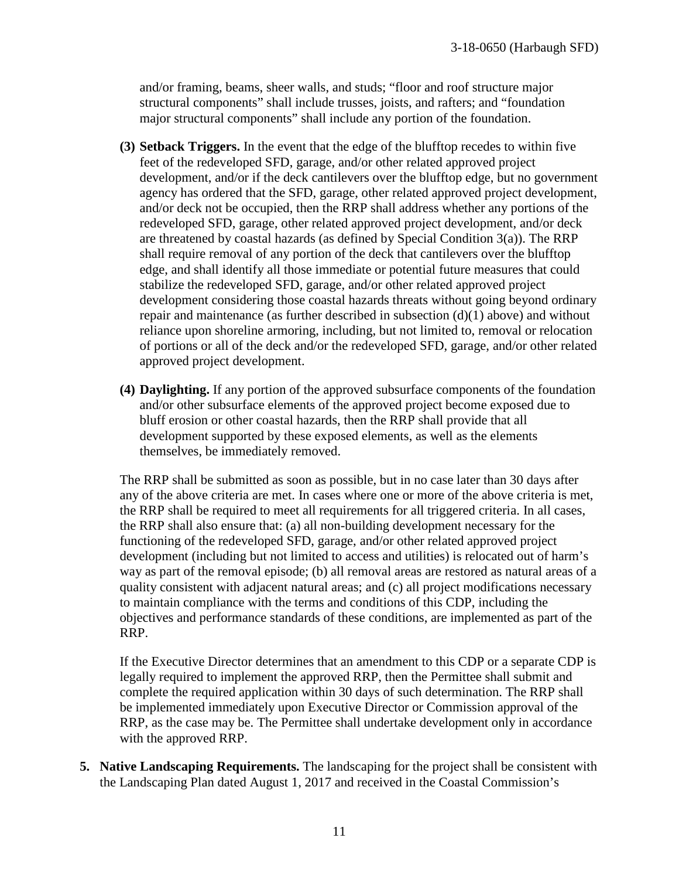and/or framing, beams, sheer walls, and studs; "floor and roof structure major structural components" shall include trusses, joists, and rafters; and "foundation major structural components" shall include any portion of the foundation.

- **(3) Setback Triggers.** In the event that the edge of the blufftop recedes to within five feet of the redeveloped SFD, garage, and/or other related approved project development, and/or if the deck cantilevers over the blufftop edge, but no government agency has ordered that the SFD, garage, other related approved project development, and/or deck not be occupied, then the RRP shall address whether any portions of the redeveloped SFD, garage, other related approved project development, and/or deck are threatened by coastal hazards (as defined by Special Condition 3(a)). The RRP shall require removal of any portion of the deck that cantilevers over the blufftop edge, and shall identify all those immediate or potential future measures that could stabilize the redeveloped SFD, garage, and/or other related approved project development considering those coastal hazards threats without going beyond ordinary repair and maintenance (as further described in subsection (d)(1) above) and without reliance upon shoreline armoring, including, but not limited to, removal or relocation of portions or all of the deck and/or the redeveloped SFD, garage, and/or other related approved project development.
- **(4) Daylighting.** If any portion of the approved subsurface components of the foundation and/or other subsurface elements of the approved project become exposed due to bluff erosion or other coastal hazards, then the RRP shall provide that all development supported by these exposed elements, as well as the elements themselves, be immediately removed.

The RRP shall be submitted as soon as possible, but in no case later than 30 days after any of the above criteria are met. In cases where one or more of the above criteria is met, the RRP shall be required to meet all requirements for all triggered criteria. In all cases, the RRP shall also ensure that: (a) all non-building development necessary for the functioning of the redeveloped SFD, garage, and/or other related approved project development (including but not limited to access and utilities) is relocated out of harm's way as part of the removal episode; (b) all removal areas are restored as natural areas of a quality consistent with adjacent natural areas; and (c) all project modifications necessary to maintain compliance with the terms and conditions of this CDP, including the objectives and performance standards of these conditions, are implemented as part of the RRP.

If the Executive Director determines that an amendment to this CDP or a separate CDP is legally required to implement the approved RRP, then the Permittee shall submit and complete the required application within 30 days of such determination. The RRP shall be implemented immediately upon Executive Director or Commission approval of the RRP, as the case may be. The Permittee shall undertake development only in accordance with the approved RRP.

**5. Native Landscaping Requirements.** The landscaping for the project shall be consistent with the Landscaping Plan dated August 1, 2017 and received in the Coastal Commission's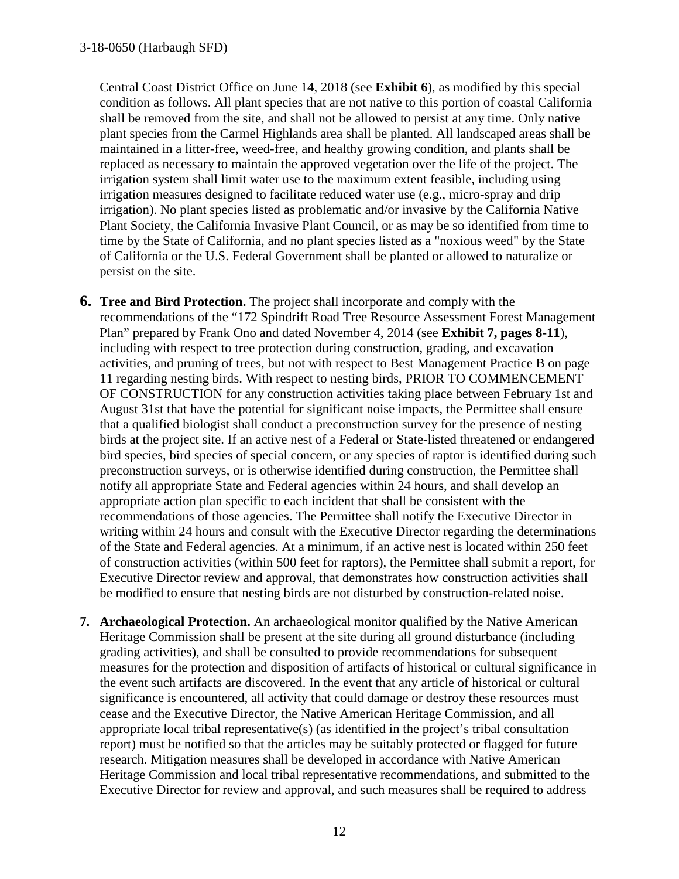Central Coast District Office on June 14, 2018 (see **Exhibit 6**), as modified by this special condition as follows. All plant species that are not native to this portion of coastal California shall be removed from the site, and shall not be allowed to persist at any time. Only native plant species from the Carmel Highlands area shall be planted. All landscaped areas shall be maintained in a litter-free, weed-free, and healthy growing condition, and plants shall be replaced as necessary to maintain the approved vegetation over the life of the project. The irrigation system shall limit water use to the maximum extent feasible, including using irrigation measures designed to facilitate reduced water use (e.g., micro-spray and drip irrigation). No plant species listed as problematic and/or invasive by the California Native Plant Society, the California Invasive Plant Council, or as may be so identified from time to time by the State of California, and no plant species listed as a "noxious weed" by the State of California or the U.S. Federal Government shall be planted or allowed to naturalize or persist on the site.

- **6. Tree and Bird Protection.** The project shall incorporate and comply with the recommendations of the "172 Spindrift Road Tree Resource Assessment Forest Management Plan" prepared by Frank Ono and dated November 4, 2014 (see **Exhibit 7, pages 8-11**), including with respect to tree protection during construction, grading, and excavation activities, and pruning of trees, but not with respect to Best Management Practice B on page 11 regarding nesting birds. With respect to nesting birds, PRIOR TO COMMENCEMENT OF CONSTRUCTION for any construction activities taking place between February 1st and August 31st that have the potential for significant noise impacts, the Permittee shall ensure that a qualified biologist shall conduct a preconstruction survey for the presence of nesting birds at the project site. If an active nest of a Federal or State-listed threatened or endangered bird species, bird species of special concern, or any species of raptor is identified during such preconstruction surveys, or is otherwise identified during construction, the Permittee shall notify all appropriate State and Federal agencies within 24 hours, and shall develop an appropriate action plan specific to each incident that shall be consistent with the recommendations of those agencies. The Permittee shall notify the Executive Director in writing within 24 hours and consult with the Executive Director regarding the determinations of the State and Federal agencies. At a minimum, if an active nest is located within 250 feet of construction activities (within 500 feet for raptors), the Permittee shall submit a report, for Executive Director review and approval, that demonstrates how construction activities shall be modified to ensure that nesting birds are not disturbed by construction-related noise.
- **7. Archaeological Protection.** An archaeological monitor qualified by the Native American Heritage Commission shall be present at the site during all ground disturbance (including grading activities), and shall be consulted to provide recommendations for subsequent measures for the protection and disposition of artifacts of historical or cultural significance in the event such artifacts are discovered. In the event that any article of historical or cultural significance is encountered, all activity that could damage or destroy these resources must cease and the Executive Director, the Native American Heritage Commission, and all appropriate local tribal representative(s) (as identified in the project's tribal consultation report) must be notified so that the articles may be suitably protected or flagged for future research. Mitigation measures shall be developed in accordance with Native American Heritage Commission and local tribal representative recommendations, and submitted to the Executive Director for review and approval, and such measures shall be required to address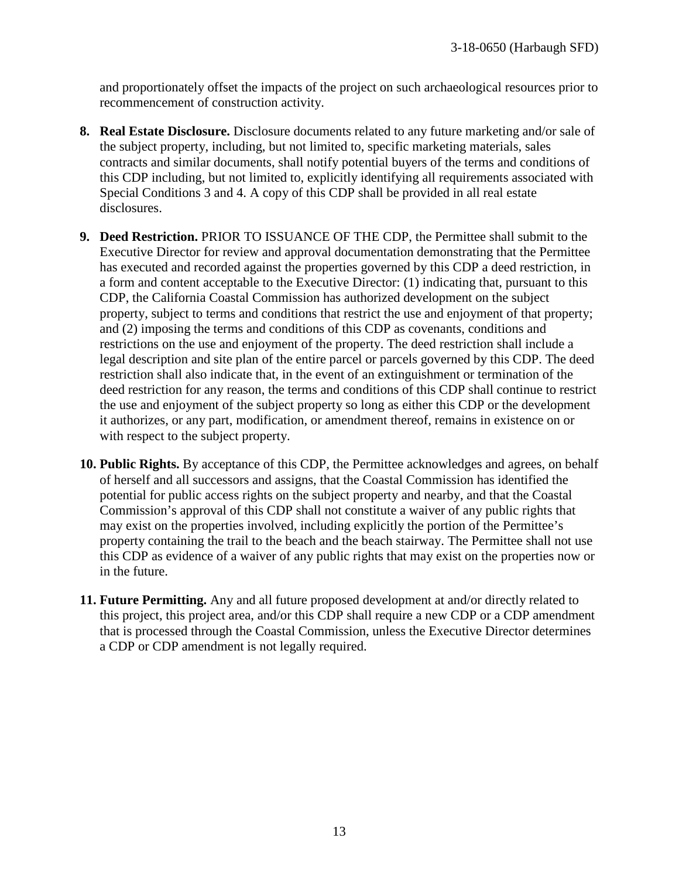and proportionately offset the impacts of the project on such archaeological resources prior to recommencement of construction activity.

- **8. Real Estate Disclosure.** Disclosure documents related to any future marketing and/or sale of the subject property, including, but not limited to, specific marketing materials, sales contracts and similar documents, shall notify potential buyers of the terms and conditions of this CDP including, but not limited to, explicitly identifying all requirements associated with Special Conditions 3 and 4. A copy of this CDP shall be provided in all real estate disclosures.
- **9. Deed Restriction.** PRIOR TO ISSUANCE OF THE CDP, the Permittee shall submit to the Executive Director for review and approval documentation demonstrating that the Permittee has executed and recorded against the properties governed by this CDP a deed restriction, in a form and content acceptable to the Executive Director: (1) indicating that, pursuant to this CDP, the California Coastal Commission has authorized development on the subject property, subject to terms and conditions that restrict the use and enjoyment of that property; and (2) imposing the terms and conditions of this CDP as covenants, conditions and restrictions on the use and enjoyment of the property. The deed restriction shall include a legal description and site plan of the entire parcel or parcels governed by this CDP. The deed restriction shall also indicate that, in the event of an extinguishment or termination of the deed restriction for any reason, the terms and conditions of this CDP shall continue to restrict the use and enjoyment of the subject property so long as either this CDP or the development it authorizes, or any part, modification, or amendment thereof, remains in existence on or with respect to the subject property.
- **10. Public Rights.** By acceptance of this CDP, the Permittee acknowledges and agrees, on behalf of herself and all successors and assigns, that the Coastal Commission has identified the potential for public access rights on the subject property and nearby, and that the Coastal Commission's approval of this CDP shall not constitute a waiver of any public rights that may exist on the properties involved, including explicitly the portion of the Permittee's property containing the trail to the beach and the beach stairway. The Permittee shall not use this CDP as evidence of a waiver of any public rights that may exist on the properties now or in the future.
- **11. Future Permitting.** Any and all future proposed development at and/or directly related to this project, this project area, and/or this CDP shall require a new CDP or a CDP amendment that is processed through the Coastal Commission, unless the Executive Director determines a CDP or CDP amendment is not legally required.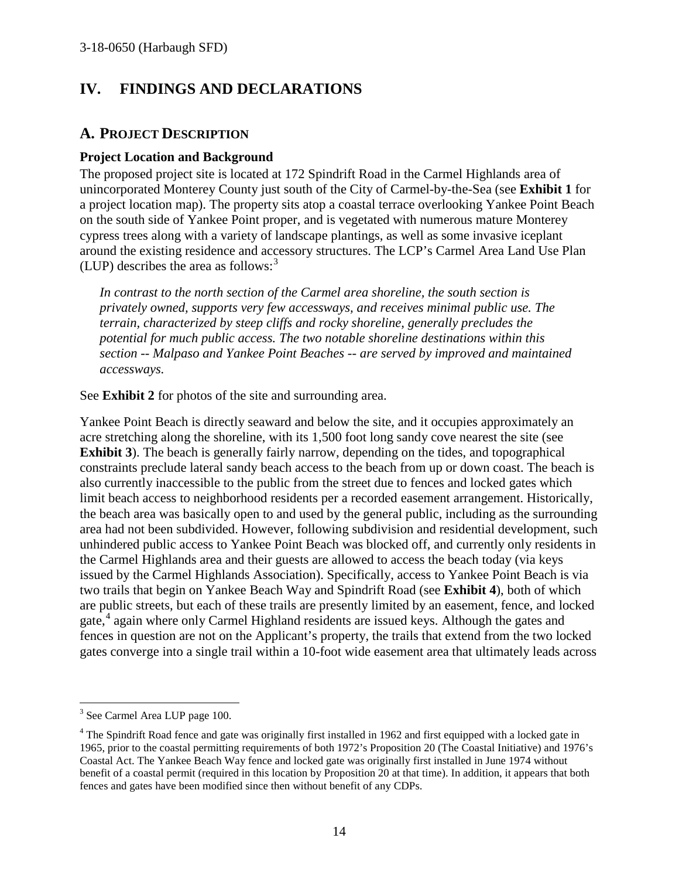# **IV. FINDINGS AND DECLARATIONS**

### **A. PROJECT DESCRIPTION**

#### **Project Location and Background**

The proposed project site is located at 172 Spindrift Road in the Carmel Highlands area of unincorporated Monterey County just south of the City of Carmel-by-the-Sea (see **Exhibit 1** for a project location map). The property sits atop a coastal terrace overlooking Yankee Point Beach on the south side of Yankee Point proper, and is vegetated with numerous mature Monterey cypress trees along with a variety of landscape plantings, as well as some invasive iceplant around the existing residence and accessory structures. The LCP's Carmel Area Land Use Plan (LUP) describes the area as follows: $3$ 

*In contrast to the north section of the Carmel area shoreline, the south section is privately owned, supports very few accessways, and receives minimal public use. The terrain, characterized by steep cliffs and rocky shoreline, generally precludes the potential for much public access. The two notable shoreline destinations within this section -- Malpaso and Yankee Point Beaches -- are served by improved and maintained accessways.* 

See **Exhibit 2** for photos of the site and surrounding area.

Yankee Point Beach is directly seaward and below the site, and it occupies approximately an acre stretching along the shoreline, with its 1,500 foot long sandy cove nearest the site (see **Exhibit 3**). The beach is generally fairly narrow, depending on the tides, and topographical constraints preclude lateral sandy beach access to the beach from up or down coast. The beach is also currently inaccessible to the public from the street due to fences and locked gates which limit beach access to neighborhood residents per a recorded easement arrangement. Historically, the beach area was basically open to and used by the general public, including as the surrounding area had not been subdivided. However, following subdivision and residential development, such unhindered public access to Yankee Point Beach was blocked off, and currently only residents in the Carmel Highlands area and their guests are allowed to access the beach today (via keys issued by the Carmel Highlands Association). Specifically, access to Yankee Point Beach is via two trails that begin on Yankee Beach Way and Spindrift Road (see **Exhibit 4**), both of which are public streets, but each of these trails are presently limited by an easement, fence, and locked gate,<sup>[4](#page-13-1)</sup> again where only Carmel Highland residents are issued keys. Although the gates and fences in question are not on the Applicant's property, the trails that extend from the two locked gates converge into a single trail within a 10-foot wide easement area that ultimately leads across

<span id="page-13-0"></span> $\overline{a}$ <sup>3</sup> See Carmel Area LUP page 100.

<span id="page-13-1"></span><sup>&</sup>lt;sup>4</sup> The Spindrift Road fence and gate was originally first installed in 1962 and first equipped with a locked gate in 1965, prior to the coastal permitting requirements of both 1972's Proposition 20 (The Coastal Initiative) and 1976's Coastal Act. The Yankee Beach Way fence and locked gate was originally first installed in June 1974 without benefit of a coastal permit (required in this location by Proposition 20 at that time). In addition, it appears that both fences and gates have been modified since then without benefit of any CDPs.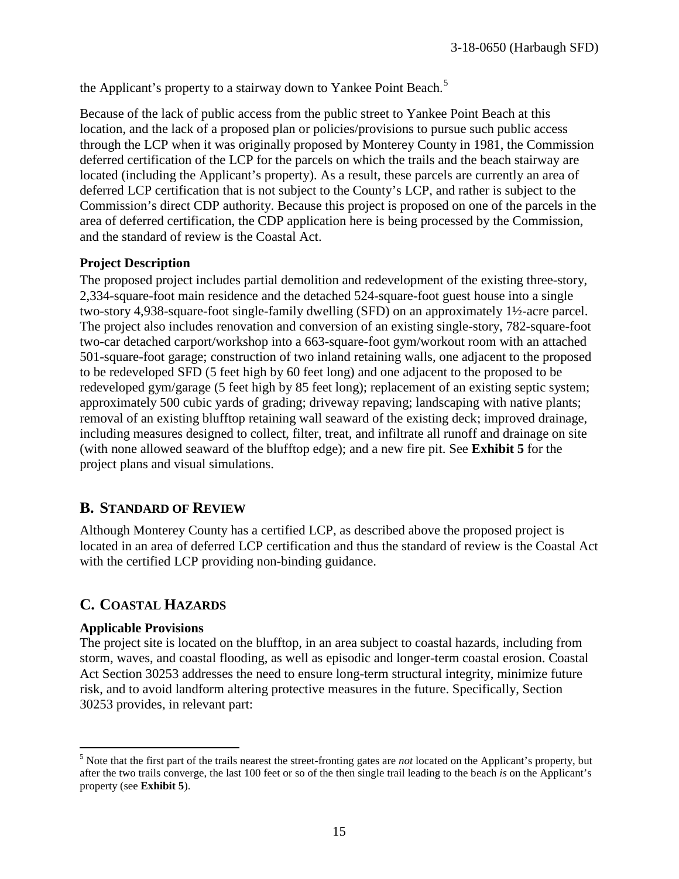the Applicant's property to a stairway down to Yankee Point Beach.<sup>[5](#page-14-0)</sup>

Because of the lack of public access from the public street to Yankee Point Beach at this location, and the lack of a proposed plan or policies/provisions to pursue such public access through the LCP when it was originally proposed by Monterey County in 1981, the Commission deferred certification of the LCP for the parcels on which the trails and the beach stairway are located (including the Applicant's property). As a result, these parcels are currently an area of deferred LCP certification that is not subject to the County's LCP, and rather is subject to the Commission's direct CDP authority. Because this project is proposed on one of the parcels in the area of deferred certification, the CDP application here is being processed by the Commission, and the standard of review is the Coastal Act.

#### **Project Description**

The proposed project includes partial demolition and redevelopment of the existing three-story, 2,334-square-foot main residence and the detached 524-square-foot guest house into a single two-story 4,938-square-foot single-family dwelling (SFD) on an approximately 1½-acre parcel. The project also includes renovation and conversion of an existing single-story, 782-square-foot two-car detached carport/workshop into a 663-square-foot gym/workout room with an attached 501-square-foot garage; construction of two inland retaining walls, one adjacent to the proposed to be redeveloped SFD (5 feet high by 60 feet long) and one adjacent to the proposed to be redeveloped gym/garage (5 feet high by 85 feet long); replacement of an existing septic system; approximately 500 cubic yards of grading; driveway repaving; landscaping with native plants; removal of an existing blufftop retaining wall seaward of the existing deck; improved drainage, including measures designed to collect, filter, treat, and infiltrate all runoff and drainage on site (with none allowed seaward of the blufftop edge); and a new fire pit. See **Exhibit 5** for the project plans and visual simulations.

# **B. STANDARD OF REVIEW**

Although Monterey County has a certified LCP, as described above the proposed project is located in an area of deferred LCP certification and thus the standard of review is the Coastal Act with the certified LCP providing non-binding guidance.

## **C. COASTAL HAZARDS**

#### **Applicable Provisions**

The project site is located on the blufftop, in an area subject to coastal hazards, including from storm, waves, and coastal flooding, as well as episodic and longer-term coastal erosion. Coastal Act Section 30253 addresses the need to ensure long-term structural integrity, minimize future risk, and to avoid landform altering protective measures in the future. Specifically, Section 30253 provides, in relevant part:

<span id="page-14-0"></span> $\overline{a}$ <sup>5</sup> Note that the first part of the trails nearest the street-fronting gates are *not* located on the Applicant's property, but after the two trails converge, the last 100 feet or so of the then single trail leading to the beach *is* on the Applicant's property (see **Exhibit 5**).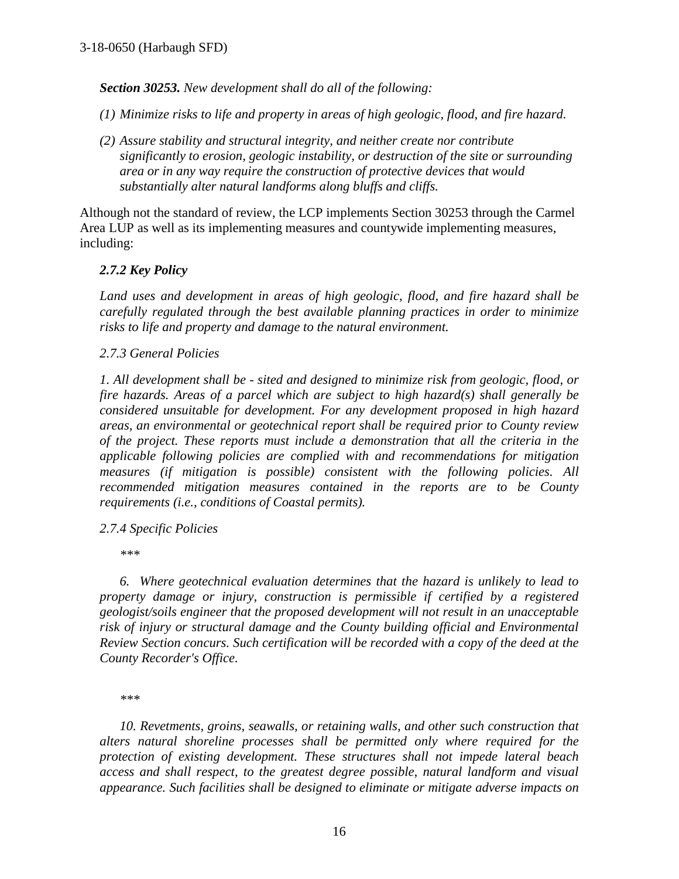*Section 30253. New development shall do all of the following:* 

- *(1) Minimize risks to life and property in areas of high geologic, flood, and fire hazard.*
- *(2) Assure stability and structural integrity, and neither create nor contribute significantly to erosion, geologic instability, or destruction of the site or surrounding area or in any way require the construction of protective devices that would substantially alter natural landforms along bluffs and cliffs.*

Although not the standard of review, the LCP implements Section 30253 through the Carmel Area LUP as well as its implementing measures and countywide implementing measures, including:

### *2.7.2 Key Policy*

*Land uses and development in areas of high geologic, flood, and fire hazard shall be carefully regulated through the best available planning practices in order to minimize risks to life and property and damage to the natural environment.* 

### *2.7.3 General Policies*

*1. All development shall be - sited and designed to minimize risk from geologic, flood, or fire hazards. Areas of a parcel which are subject to high hazard(s) shall generally be considered unsuitable for development. For any development proposed in high hazard areas, an environmental or geotechnical report shall be required prior to County review of the project. These reports must include a demonstration that all the criteria in the applicable following policies are complied with and recommendations for mitigation measures (if mitigation is possible) consistent with the following policies. All recommended mitigation measures contained in the reports are to be County requirements (i.e., conditions of Coastal permits).* 

### *2.7.4 Specific Policies*

 *\*\*\** 

*6. Where geotechnical evaluation determines that the hazard is unlikely to lead to property damage or injury, construction is permissible if certified by a registered geologist/soils engineer that the proposed development will not result in an unacceptable risk of injury or structural damage and the County building official and Environmental Review Section concurs. Such certification will be recorded with a copy of the deed at the County Recorder's Office.*

*\*\*\** 

*10. Revetments, groins, seawalls, or retaining walls, and other such construction that alters natural shoreline processes shall be permitted only where required for the protection of existing development. These structures shall not impede lateral beach access and shall respect, to the greatest degree possible, natural landform and visual appearance. Such facilities shall be designed to eliminate or mitigate adverse impacts on*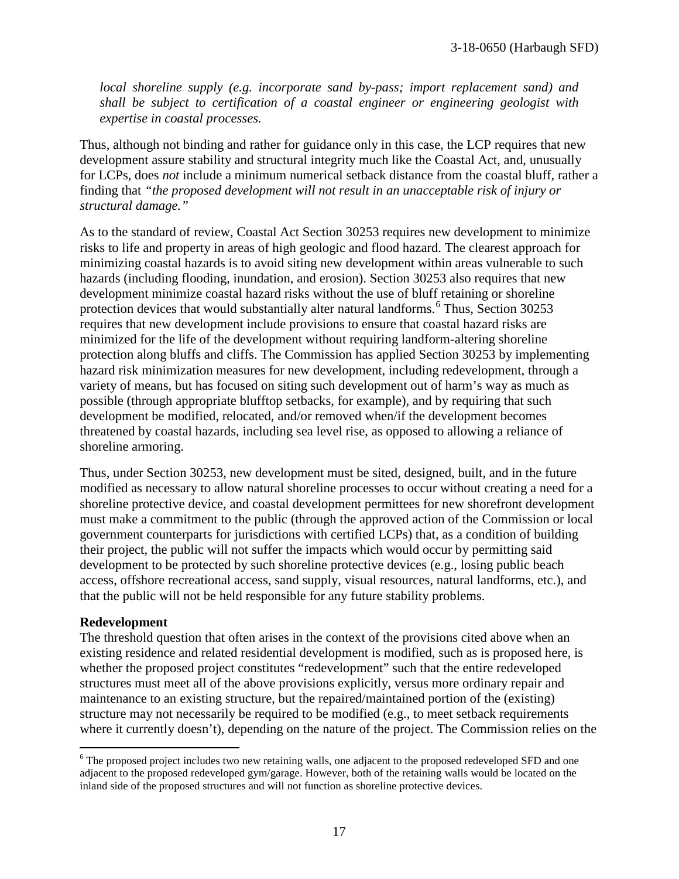*local shoreline supply (e.g. incorporate sand by-pass; import replacement sand) and shall be subject to certification of a coastal engineer or engineering geologist with expertise in coastal processes.*

Thus, although not binding and rather for guidance only in this case, the LCP requires that new development assure stability and structural integrity much like the Coastal Act, and, unusually for LCPs, does *not* include a minimum numerical setback distance from the coastal bluff, rather a finding that *"the proposed development will not result in an unacceptable risk of injury or structural damage."* 

As to the standard of review, Coastal Act Section 30253 requires new development to minimize risks to life and property in areas of high geologic and flood hazard. The clearest approach for minimizing coastal hazards is to avoid siting new development within areas vulnerable to such hazards (including flooding, inundation, and erosion). Section 30253 also requires that new development minimize coastal hazard risks without the use of bluff retaining or shoreline protection devices that would substantially alter natural landforms.<sup>[6](#page-16-0)</sup> Thus, Section 30253 requires that new development include provisions to ensure that coastal hazard risks are minimized for the life of the development without requiring landform-altering shoreline protection along bluffs and cliffs. The Commission has applied Section 30253 by implementing hazard risk minimization measures for new development, including redevelopment, through a variety of means, but has focused on siting such development out of harm's way as much as possible (through appropriate blufftop setbacks, for example), and by requiring that such development be modified, relocated, and/or removed when/if the development becomes threatened by coastal hazards, including sea level rise, as opposed to allowing a reliance of shoreline armoring.

Thus, under Section 30253, new development must be sited, designed, built, and in the future modified as necessary to allow natural shoreline processes to occur without creating a need for a shoreline protective device, and coastal development permittees for new shorefront development must make a commitment to the public (through the approved action of the Commission or local government counterparts for jurisdictions with certified LCPs) that, as a condition of building their project, the public will not suffer the impacts which would occur by permitting said development to be protected by such shoreline protective devices (e.g., losing public beach access, offshore recreational access, sand supply, visual resources, natural landforms, etc.), and that the public will not be held responsible for any future stability problems.

#### **Redevelopment**

The threshold question that often arises in the context of the provisions cited above when an existing residence and related residential development is modified, such as is proposed here, is whether the proposed project constitutes "redevelopment" such that the entire redeveloped structures must meet all of the above provisions explicitly, versus more ordinary repair and maintenance to an existing structure, but the repaired/maintained portion of the (existing) structure may not necessarily be required to be modified (e.g., to meet setback requirements where it currently doesn't), depending on the nature of the project. The Commission relies on the

<span id="page-16-0"></span> $\overline{a}$ <sup>6</sup> The proposed project includes two new retaining walls, one adjacent to the proposed redeveloped SFD and one adjacent to the proposed redeveloped gym/garage. However, both of the retaining walls would be located on the inland side of the proposed structures and will not function as shoreline protective devices.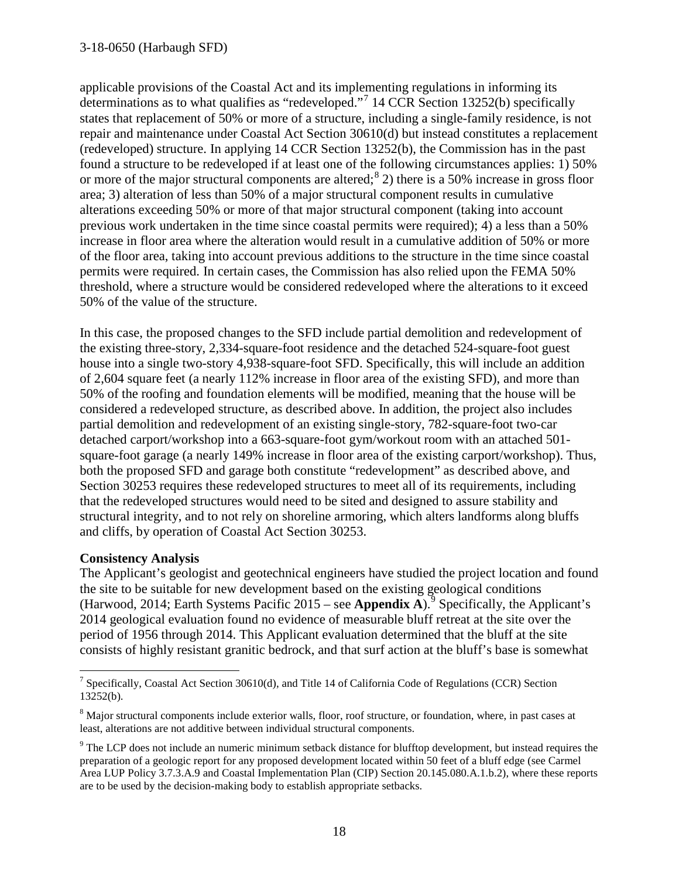#### 3-18-0650 (Harbaugh SFD)

applicable provisions of the Coastal Act and its implementing regulations in informing its determinations as to what qualifies as "redeveloped."[7](#page-17-0) 14 CCR Section 13252(b) specifically states that replacement of 50% or more of a structure, including a single-family residence, is not repair and maintenance under Coastal Act Section 30610(d) but instead constitutes a replacement (redeveloped) structure. In applying 14 CCR Section 13252(b), the Commission has in the past found a structure to be redeveloped if at least one of the following circumstances applies: 1) 50% or more of the major structural components are altered;<sup>[8](#page-17-1)</sup> 2) there is a 50% increase in gross floor area; 3) alteration of less than 50% of a major structural component results in cumulative alterations exceeding 50% or more of that major structural component (taking into account previous work undertaken in the time since coastal permits were required); 4) a less than a 50% increase in floor area where the alteration would result in a cumulative addition of 50% or more of the floor area, taking into account previous additions to the structure in the time since coastal permits were required. In certain cases, the Commission has also relied upon the FEMA 50% threshold, where a structure would be considered redeveloped where the alterations to it exceed 50% of the value of the structure.

In this case, the proposed changes to the SFD include partial demolition and redevelopment of the existing three-story, 2,334-square-foot residence and the detached 524-square-foot guest house into a single two-story 4,938-square-foot SFD. Specifically, this will include an addition of 2,604 square feet (a nearly 112% increase in floor area of the existing SFD), and more than 50% of the roofing and foundation elements will be modified, meaning that the house will be considered a redeveloped structure, as described above. In addition, the project also includes partial demolition and redevelopment of an existing single-story, 782-square-foot two-car detached carport/workshop into a 663-square-foot gym/workout room with an attached 501 square-foot garage (a nearly 149% increase in floor area of the existing carport/workshop). Thus, both the proposed SFD and garage both constitute "redevelopment" as described above, and Section 30253 requires these redeveloped structures to meet all of its requirements, including that the redeveloped structures would need to be sited and designed to assure stability and structural integrity, and to not rely on shoreline armoring, which alters landforms along bluffs and cliffs, by operation of Coastal Act Section 30253.

#### **Consistency Analysis**

The Applicant's geologist and geotechnical engineers have studied the project location and found the site to be suitable for new development based on the existing geological conditions (Harwood, 2014; Earth Systems Pacific 2015 – see **Appendix A**).<sup>[9](#page-17-2)</sup> Specifically, the Applicant's 2014 geological evaluation found no evidence of measurable bluff retreat at the site over the period of 1956 through 2014. This Applicant evaluation determined that the bluff at the site consists of highly resistant granitic bedrock, and that surf action at the bluff's base is somewhat

<span id="page-17-0"></span> $\overline{a}$ <sup>7</sup> Specifically, Coastal Act Section 30610(d), and Title 14 of California Code of Regulations (CCR) Section 13252(b).

<span id="page-17-1"></span><sup>&</sup>lt;sup>8</sup> Major structural components include exterior walls, floor, roof structure, or foundation, where, in past cases at least, alterations are not additive between individual structural components.

<span id="page-17-2"></span><sup>&</sup>lt;sup>9</sup> The LCP does not include an numeric minimum setback distance for blufftop development, but instead requires the preparation of a geologic report for any proposed development located within 50 feet of a bluff edge (see Carmel Area LUP Policy 3.7.3.A.9 and Coastal Implementation Plan (CIP) Section 20.145.080.A.1.b.2), where these reports are to be used by the decision-making body to establish appropriate setbacks.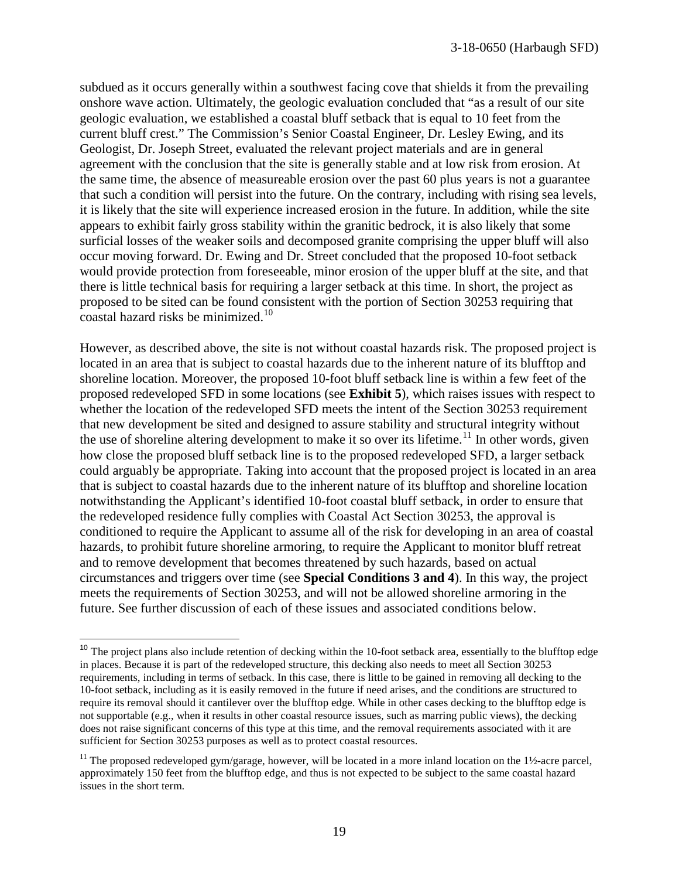subdued as it occurs generally within a southwest facing cove that shields it from the prevailing onshore wave action. Ultimately, the geologic evaluation concluded that "as a result of our site geologic evaluation, we established a coastal bluff setback that is equal to 10 feet from the current bluff crest." The Commission's Senior Coastal Engineer, Dr. Lesley Ewing, and its Geologist, Dr. Joseph Street, evaluated the relevant project materials and are in general agreement with the conclusion that the site is generally stable and at low risk from erosion. At the same time, the absence of measureable erosion over the past 60 plus years is not a guarantee that such a condition will persist into the future. On the contrary, including with rising sea levels, it is likely that the site will experience increased erosion in the future. In addition, while the site appears to exhibit fairly gross stability within the granitic bedrock, it is also likely that some surficial losses of the weaker soils and decomposed granite comprising the upper bluff will also occur moving forward. Dr. Ewing and Dr. Street concluded that the proposed 10-foot setback would provide protection from foreseeable, minor erosion of the upper bluff at the site, and that there is little technical basis for requiring a larger setback at this time. In short, the project as proposed to be sited can be found consistent with the portion of Section 30253 requiring that coastal hazard risks be minimized.[10](#page-18-0)

However, as described above, the site is not without coastal hazards risk. The proposed project is located in an area that is subject to coastal hazards due to the inherent nature of its blufftop and shoreline location. Moreover, the proposed 10-foot bluff setback line is within a few feet of the proposed redeveloped SFD in some locations (see **Exhibit 5**), which raises issues with respect to whether the location of the redeveloped SFD meets the intent of the Section 30253 requirement that new development be sited and designed to assure stability and structural integrity without the use of shoreline altering development to make it so over its lifetime.<sup>[11](#page-18-1)</sup> In other words, given how close the proposed bluff setback line is to the proposed redeveloped SFD, a larger setback could arguably be appropriate. Taking into account that the proposed project is located in an area that is subject to coastal hazards due to the inherent nature of its blufftop and shoreline location notwithstanding the Applicant's identified 10-foot coastal bluff setback, in order to ensure that the redeveloped residence fully complies with Coastal Act Section 30253, the approval is conditioned to require the Applicant to assume all of the risk for developing in an area of coastal hazards, to prohibit future shoreline armoring, to require the Applicant to monitor bluff retreat and to remove development that becomes threatened by such hazards, based on actual circumstances and triggers over time (see **Special Conditions 3 and 4**). In this way, the project meets the requirements of Section 30253, and will not be allowed shoreline armoring in the future. See further discussion of each of these issues and associated conditions below.

 $\overline{\phantom{a}}$ 

<span id="page-18-0"></span><sup>&</sup>lt;sup>10</sup> The project plans also include retention of decking within the 10-foot setback area, essentially to the blufftop edge in places. Because it is part of the redeveloped structure, this decking also needs to meet all Section 30253 requirements, including in terms of setback. In this case, there is little to be gained in removing all decking to the 10-foot setback, including as it is easily removed in the future if need arises, and the conditions are structured to require its removal should it cantilever over the blufftop edge. While in other cases decking to the blufftop edge is not supportable (e.g., when it results in other coastal resource issues, such as marring public views), the decking does not raise significant concerns of this type at this time, and the removal requirements associated with it are sufficient for Section 30253 purposes as well as to protect coastal resources.

<span id="page-18-1"></span><sup>&</sup>lt;sup>11</sup> The proposed redeveloped gym/garage, however, will be located in a more inland location on the  $1\frac{1}{2}$ -acre parcel, approximately 150 feet from the blufftop edge, and thus is not expected to be subject to the same coastal hazard issues in the short term.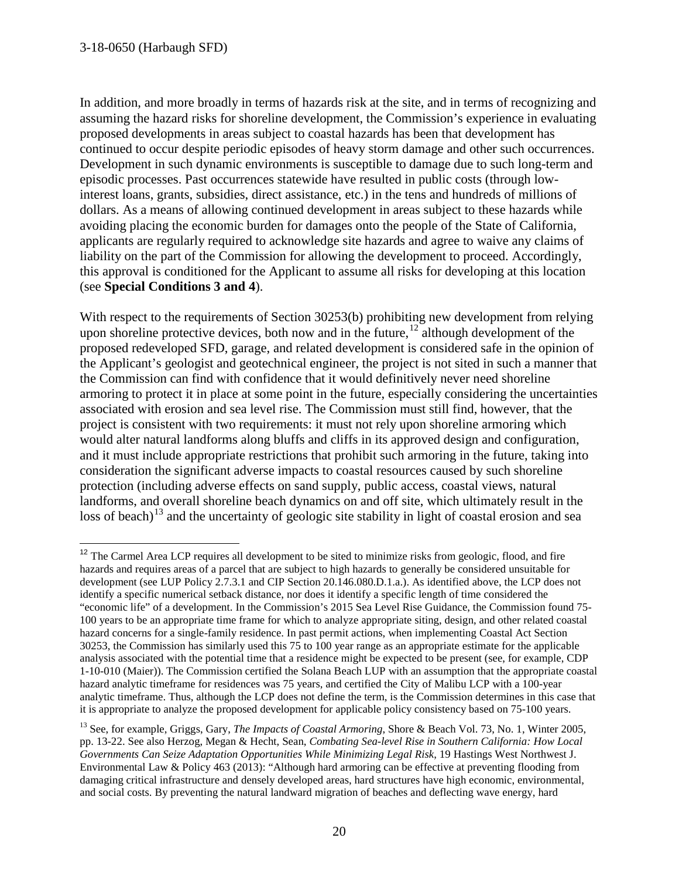$\overline{\phantom{a}}$ 

In addition, and more broadly in terms of hazards risk at the site, and in terms of recognizing and assuming the hazard risks for shoreline development, the Commission's experience in evaluating proposed developments in areas subject to coastal hazards has been that development has continued to occur despite periodic episodes of heavy storm damage and other such occurrences. Development in such dynamic environments is susceptible to damage due to such long-term and episodic processes. Past occurrences statewide have resulted in public costs (through lowinterest loans, grants, subsidies, direct assistance, etc.) in the tens and hundreds of millions of dollars. As a means of allowing continued development in areas subject to these hazards while avoiding placing the economic burden for damages onto the people of the State of California, applicants are regularly required to acknowledge site hazards and agree to waive any claims of liability on the part of the Commission for allowing the development to proceed. Accordingly, this approval is conditioned for the Applicant to assume all risks for developing at this location (see **Special Conditions 3 and 4**).

With respect to the requirements of Section 30253(b) prohibiting new development from relying upon shoreline protective devices, both now and in the future,  $12^{\circ}$  although development of the proposed redeveloped SFD, garage, and related development is considered safe in the opinion of the Applicant's geologist and geotechnical engineer, the project is not sited in such a manner that the Commission can find with confidence that it would definitively never need shoreline armoring to protect it in place at some point in the future, especially considering the uncertainties associated with erosion and sea level rise. The Commission must still find, however, that the project is consistent with two requirements: it must not rely upon shoreline armoring which would alter natural landforms along bluffs and cliffs in its approved design and configuration, and it must include appropriate restrictions that prohibit such armoring in the future, taking into consideration the significant adverse impacts to coastal resources caused by such shoreline protection (including adverse effects on sand supply, public access, coastal views, natural landforms, and overall shoreline beach dynamics on and off site, which ultimately result in the loss of beach)<sup>[13](#page-19-1)</sup> and the uncertainty of geologic site stability in light of coastal erosion and sea

<span id="page-19-0"></span> $12$  The Carmel Area LCP requires all development to be sited to minimize risks from geologic, flood, and fire hazards and requires areas of a parcel that are subject to high hazards to generally be considered unsuitable for development (see LUP Policy 2.7.3.1 and CIP Section 20.146.080.D.1.a.). As identified above, the LCP does not identify a specific numerical setback distance, nor does it identify a specific length of time considered the "economic life" of a development. In the Commission's 2015 Sea Level Rise Guidance, the Commission found 75- 100 years to be an appropriate time frame for which to analyze appropriate siting, design, and other related coastal hazard concerns for a single-family residence. In past permit actions, when implementing Coastal Act Section 30253, the Commission has similarly used this 75 to 100 year range as an appropriate estimate for the applicable analysis associated with the potential time that a residence might be expected to be present (see, for example, CDP 1-10-010 (Maier)). The Commission certified the Solana Beach LUP with an assumption that the appropriate coastal hazard analytic timeframe for residences was 75 years, and certified the City of Malibu LCP with a 100-year analytic timeframe. Thus, although the LCP does not define the term, is the Commission determines in this case that it is appropriate to analyze the proposed development for applicable policy consistency based on 75-100 years.

<span id="page-19-1"></span><sup>&</sup>lt;sup>13</sup> See, for example, Griggs, Gary, *The Impacts of Coastal Armoring*, Shore & Beach Vol. 73, No. 1, Winter 2005, pp. 13-22. See also Herzog, Megan & Hecht, Sean, *Combating Sea-level Rise in Southern California: How Local Governments Can Seize Adaptation Opportunities While Minimizing Legal Risk*, 19 Hastings West Northwest J. Environmental Law & Policy 463 (2013): "Although hard armoring can be effective at preventing flooding from damaging critical infrastructure and densely developed areas, hard structures have high economic, environmental, and social costs. By preventing the natural landward migration of beaches and deflecting wave energy, hard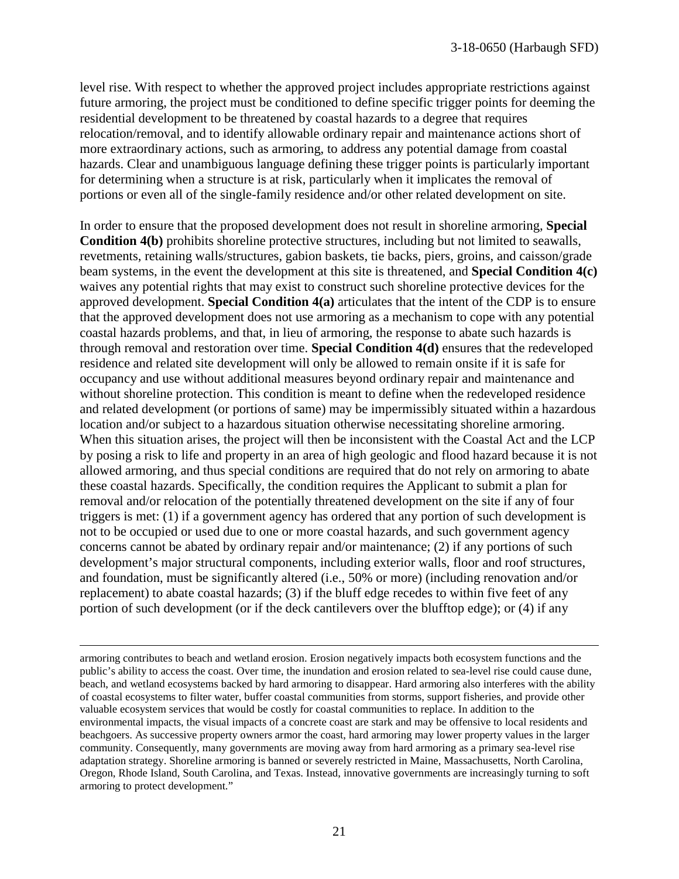level rise. With respect to whether the approved project includes appropriate restrictions against future armoring, the project must be conditioned to define specific trigger points for deeming the residential development to be threatened by coastal hazards to a degree that requires relocation/removal, and to identify allowable ordinary repair and maintenance actions short of more extraordinary actions, such as armoring, to address any potential damage from coastal hazards. Clear and unambiguous language defining these trigger points is particularly important for determining when a structure is at risk, particularly when it implicates the removal of portions or even all of the single-family residence and/or other related development on site.

In order to ensure that the proposed development does not result in shoreline armoring, **Special Condition 4(b)** prohibits shoreline protective structures, including but not limited to seawalls, revetments, retaining walls/structures, gabion baskets, tie backs, piers, groins, and caisson/grade beam systems, in the event the development at this site is threatened, and **Special Condition 4(c)** waives any potential rights that may exist to construct such shoreline protective devices for the approved development. **Special Condition 4(a)** articulates that the intent of the CDP is to ensure that the approved development does not use armoring as a mechanism to cope with any potential coastal hazards problems, and that, in lieu of armoring, the response to abate such hazards is through removal and restoration over time. **Special Condition 4(d)** ensures that the redeveloped residence and related site development will only be allowed to remain onsite if it is safe for occupancy and use without additional measures beyond ordinary repair and maintenance and without shoreline protection. This condition is meant to define when the redeveloped residence and related development (or portions of same) may be impermissibly situated within a hazardous location and/or subject to a hazardous situation otherwise necessitating shoreline armoring. When this situation arises, the project will then be inconsistent with the Coastal Act and the LCP by posing a risk to life and property in an area of high geologic and flood hazard because it is not allowed armoring, and thus special conditions are required that do not rely on armoring to abate these coastal hazards. Specifically, the condition requires the Applicant to submit a plan for removal and/or relocation of the potentially threatened development on the site if any of four triggers is met: (1) if a government agency has ordered that any portion of such development is not to be occupied or used due to one or more coastal hazards, and such government agency concerns cannot be abated by ordinary repair and/or maintenance; (2) if any portions of such development's major structural components, including exterior walls, floor and roof structures, and foundation, must be significantly altered (i.e., 50% or more) (including renovation and/or replacement) to abate coastal hazards; (3) if the bluff edge recedes to within five feet of any portion of such development (or if the deck cantilevers over the blufftop edge); or (4) if any

 $\overline{a}$ 

armoring contributes to beach and wetland erosion. Erosion negatively impacts both ecosystem functions and the public's ability to access the coast. Over time, the inundation and erosion related to sea-level rise could cause dune, beach, and wetland ecosystems backed by hard armoring to disappear. Hard armoring also interferes with the ability of coastal ecosystems to filter water, buffer coastal communities from storms, support fisheries, and provide other valuable ecosystem services that would be costly for coastal communities to replace. In addition to the environmental impacts, the visual impacts of a concrete coast are stark and may be offensive to local residents and beachgoers. As successive property owners armor the coast, hard armoring may lower property values in the larger community. Consequently, many governments are moving away from hard armoring as a primary sea-level rise adaptation strategy. Shoreline armoring is banned or severely restricted in Maine, Massachusetts, North Carolina, Oregon, Rhode Island, South Carolina, and Texas. Instead, innovative governments are increasingly turning to soft armoring to protect development."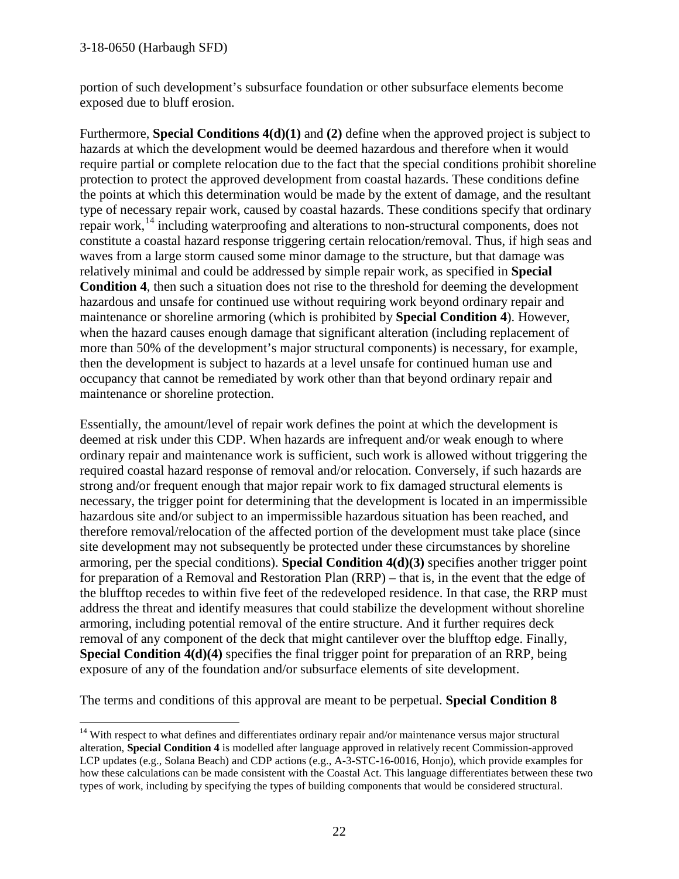portion of such development's subsurface foundation or other subsurface elements become exposed due to bluff erosion.

Furthermore, **Special Conditions 4(d)(1)** and **(2)** define when the approved project is subject to hazards at which the development would be deemed hazardous and therefore when it would require partial or complete relocation due to the fact that the special conditions prohibit shoreline protection to protect the approved development from coastal hazards. These conditions define the points at which this determination would be made by the extent of damage, and the resultant type of necessary repair work, caused by coastal hazards. These conditions specify that ordinary repair work,  $^{14}$  $^{14}$  $^{14}$  including waterproofing and alterations to non-structural components, does not constitute a coastal hazard response triggering certain relocation/removal. Thus, if high seas and waves from a large storm caused some minor damage to the structure, but that damage was relatively minimal and could be addressed by simple repair work, as specified in **Special Condition 4**, then such a situation does not rise to the threshold for deeming the development hazardous and unsafe for continued use without requiring work beyond ordinary repair and maintenance or shoreline armoring (which is prohibited by **Special Condition 4**). However, when the hazard causes enough damage that significant alteration (including replacement of more than 50% of the development's major structural components) is necessary, for example, then the development is subject to hazards at a level unsafe for continued human use and occupancy that cannot be remediated by work other than that beyond ordinary repair and maintenance or shoreline protection.

Essentially, the amount/level of repair work defines the point at which the development is deemed at risk under this CDP. When hazards are infrequent and/or weak enough to where ordinary repair and maintenance work is sufficient, such work is allowed without triggering the required coastal hazard response of removal and/or relocation. Conversely, if such hazards are strong and/or frequent enough that major repair work to fix damaged structural elements is necessary, the trigger point for determining that the development is located in an impermissible hazardous site and/or subject to an impermissible hazardous situation has been reached, and therefore removal/relocation of the affected portion of the development must take place (since site development may not subsequently be protected under these circumstances by shoreline armoring, per the special conditions). **Special Condition 4(d)(3)** specifies another trigger point for preparation of a Removal and Restoration Plan (RRP) – that is, in the event that the edge of the blufftop recedes to within five feet of the redeveloped residence. In that case, the RRP must address the threat and identify measures that could stabilize the development without shoreline armoring, including potential removal of the entire structure. And it further requires deck removal of any component of the deck that might cantilever over the blufftop edge. Finally, **Special Condition 4(d)(4)** specifies the final trigger point for preparation of an RRP, being exposure of any of the foundation and/or subsurface elements of site development.

The terms and conditions of this approval are meant to be perpetual. **Special Condition 8** 

<span id="page-21-0"></span> $\overline{a}$ <sup>14</sup> With respect to what defines and differentiates ordinary repair and/or maintenance versus major structural alteration, **Special Condition 4** is modelled after language approved in relatively recent Commission-approved LCP updates (e.g., Solana Beach) and CDP actions (e.g., A-3-STC-16-0016, Honjo), which provide examples for how these calculations can be made consistent with the Coastal Act. This language differentiates between these two types of work, including by specifying the types of building components that would be considered structural.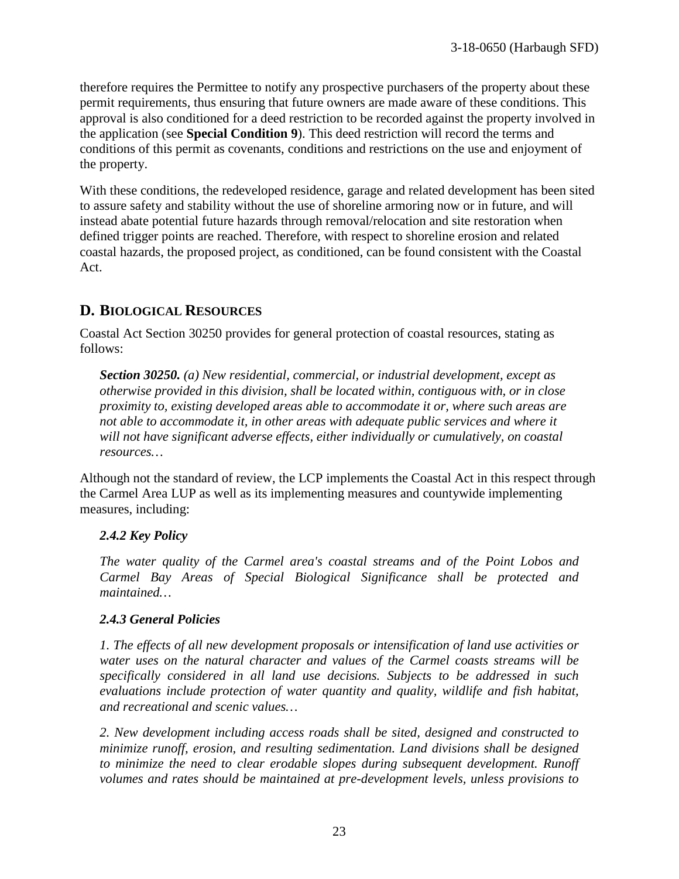therefore requires the Permittee to notify any prospective purchasers of the property about these permit requirements, thus ensuring that future owners are made aware of these conditions. This approval is also conditioned for a deed restriction to be recorded against the property involved in the application (see **Special Condition 9**). This deed restriction will record the terms and conditions of this permit as covenants, conditions and restrictions on the use and enjoyment of the property.

With these conditions, the redeveloped residence, garage and related development has been sited to assure safety and stability without the use of shoreline armoring now or in future, and will instead abate potential future hazards through removal/relocation and site restoration when defined trigger points are reached. Therefore, with respect to shoreline erosion and related coastal hazards, the proposed project, as conditioned, can be found consistent with the Coastal Act.

# **D. BIOLOGICAL RESOURCES**

Coastal Act Section 30250 provides for general protection of coastal resources, stating as follows:

*Section 30250. (a) New residential, commercial, or industrial development, except as otherwise provided in this division, shall be located within, contiguous with, or in close proximity to, existing developed areas able to accommodate it or, where such areas are not able to accommodate it, in other areas with adequate public services and where it will not have significant adverse effects, either individually or cumulatively, on coastal resources…*

Although not the standard of review, the LCP implements the Coastal Act in this respect through the Carmel Area LUP as well as its implementing measures and countywide implementing measures, including:

### *2.4.2 Key Policy*

*The water quality of the Carmel area's coastal streams and of the Point Lobos and Carmel Bay Areas of Special Biological Significance shall be protected and maintained…* 

### *2.4.3 General Policies*

*1. The effects of all new development proposals or intensification of land use activities or water uses on the natural character and values of the Carmel coasts streams will be specifically considered in all land use decisions. Subjects to be addressed in such evaluations include protection of water quantity and quality, wildlife and fish habitat, and recreational and scenic values…*

*2. New development including access roads shall be sited, designed and constructed to minimize runoff, erosion, and resulting sedimentation. Land divisions shall be designed to minimize the need to clear erodable slopes during subsequent development. Runoff volumes and rates should be maintained at pre-development levels, unless provisions to*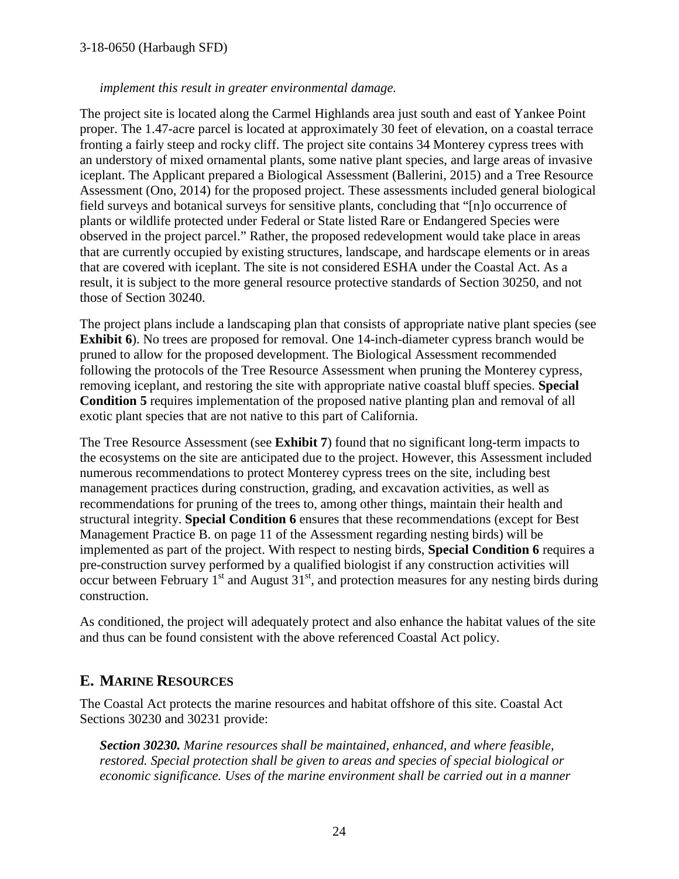#### 3-18-0650 (Harbaugh SFD)

#### *implement this result in greater environmental damage.*

The project site is located along the Carmel Highlands area just south and east of Yankee Point proper. The 1.47-acre parcel is located at approximately 30 feet of elevation, on a coastal terrace fronting a fairly steep and rocky cliff. The project site contains 34 Monterey cypress trees with an understory of mixed ornamental plants, some native plant species, and large areas of invasive iceplant. The Applicant prepared a Biological Assessment (Ballerini, 2015) and a Tree Resource Assessment (Ono, 2014) for the proposed project. These assessments included general biological field surveys and botanical surveys for sensitive plants, concluding that "[n]o occurrence of plants or wildlife protected under Federal or State listed Rare or Endangered Species were observed in the project parcel." Rather, the proposed redevelopment would take place in areas that are currently occupied by existing structures, landscape, and hardscape elements or in areas that are covered with iceplant. The site is not considered ESHA under the Coastal Act. As a result, it is subject to the more general resource protective standards of Section 30250, and not those of Section 30240.

The project plans include a landscaping plan that consists of appropriate native plant species (see **Exhibit 6**). No trees are proposed for removal. One 14-inch-diameter cypress branch would be pruned to allow for the proposed development. The Biological Assessment recommended following the protocols of the Tree Resource Assessment when pruning the Monterey cypress, removing iceplant, and restoring the site with appropriate native coastal bluff species. **Special Condition 5** requires implementation of the proposed native planting plan and removal of all exotic plant species that are not native to this part of California.

The Tree Resource Assessment (see **Exhibit 7**) found that no significant long-term impacts to the ecosystems on the site are anticipated due to the project. However, this Assessment included numerous recommendations to protect Monterey cypress trees on the site, including best management practices during construction, grading, and excavation activities, as well as recommendations for pruning of the trees to, among other things, maintain their health and structural integrity. **Special Condition 6** ensures that these recommendations (except for Best Management Practice B. on page 11 of the Assessment regarding nesting birds) will be implemented as part of the project. With respect to nesting birds, **Special Condition 6** requires a pre-construction survey performed by a qualified biologist if any construction activities will occur between February  $1<sup>st</sup>$  and August  $31<sup>st</sup>$ , and protection measures for any nesting birds during construction.

As conditioned, the project will adequately protect and also enhance the habitat values of the site and thus can be found consistent with the above referenced Coastal Act policy.

## **E. MARINE RESOURCES**

The Coastal Act protects the marine resources and habitat offshore of this site. Coastal Act Sections 30230 and 30231 provide:

*Section 30230. Marine resources shall be maintained, enhanced, and where feasible, restored. Special protection shall be given to areas and species of special biological or economic significance. Uses of the marine environment shall be carried out in a manner*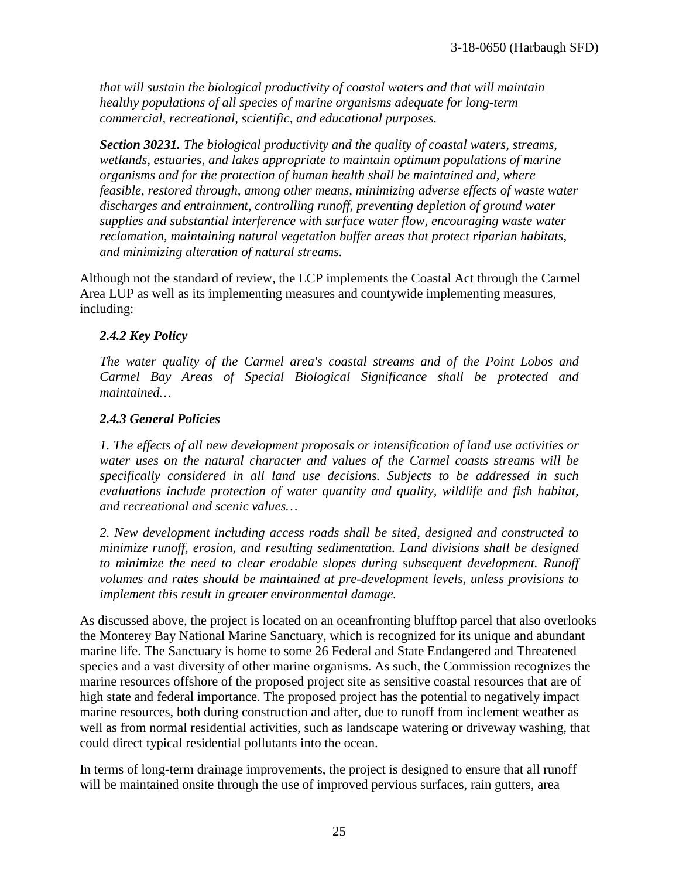*that will sustain the biological productivity of coastal waters and that will maintain healthy populations of all species of marine organisms adequate for long-term commercial, recreational, scientific, and educational purposes.* 

*Section 30231. The biological productivity and the quality of coastal waters, streams, wetlands, estuaries, and lakes appropriate to maintain optimum populations of marine organisms and for the protection of human health shall be maintained and, where feasible, restored through, among other means, minimizing adverse effects of waste water discharges and entrainment, controlling runoff, preventing depletion of ground water supplies and substantial interference with surface water flow, encouraging waste water reclamation, maintaining natural vegetation buffer areas that protect riparian habitats, and minimizing alteration of natural streams.* 

Although not the standard of review, the LCP implements the Coastal Act through the Carmel Area LUP as well as its implementing measures and countywide implementing measures, including:

#### *2.4.2 Key Policy*

*The water quality of the Carmel area's coastal streams and of the Point Lobos and Carmel Bay Areas of Special Biological Significance shall be protected and maintained…* 

#### *2.4.3 General Policies*

*1. The effects of all new development proposals or intensification of land use activities or water uses on the natural character and values of the Carmel coasts streams will be specifically considered in all land use decisions. Subjects to be addressed in such evaluations include protection of water quantity and quality, wildlife and fish habitat, and recreational and scenic values…*

*2. New development including access roads shall be sited, designed and constructed to minimize runoff, erosion, and resulting sedimentation. Land divisions shall be designed to minimize the need to clear erodable slopes during subsequent development. Runoff volumes and rates should be maintained at pre-development levels, unless provisions to implement this result in greater environmental damage.*

As discussed above, the project is located on an oceanfronting blufftop parcel that also overlooks the Monterey Bay National Marine Sanctuary, which is recognized for its unique and abundant marine life. The Sanctuary is home to some 26 Federal and State Endangered and Threatened species and a vast diversity of other marine organisms. As such, the Commission recognizes the marine resources offshore of the proposed project site as sensitive coastal resources that are of high state and federal importance. The proposed project has the potential to negatively impact marine resources, both during construction and after, due to runoff from inclement weather as well as from normal residential activities, such as landscape watering or driveway washing, that could direct typical residential pollutants into the ocean.

In terms of long-term drainage improvements, the project is designed to ensure that all runoff will be maintained onsite through the use of improved pervious surfaces, rain gutters, area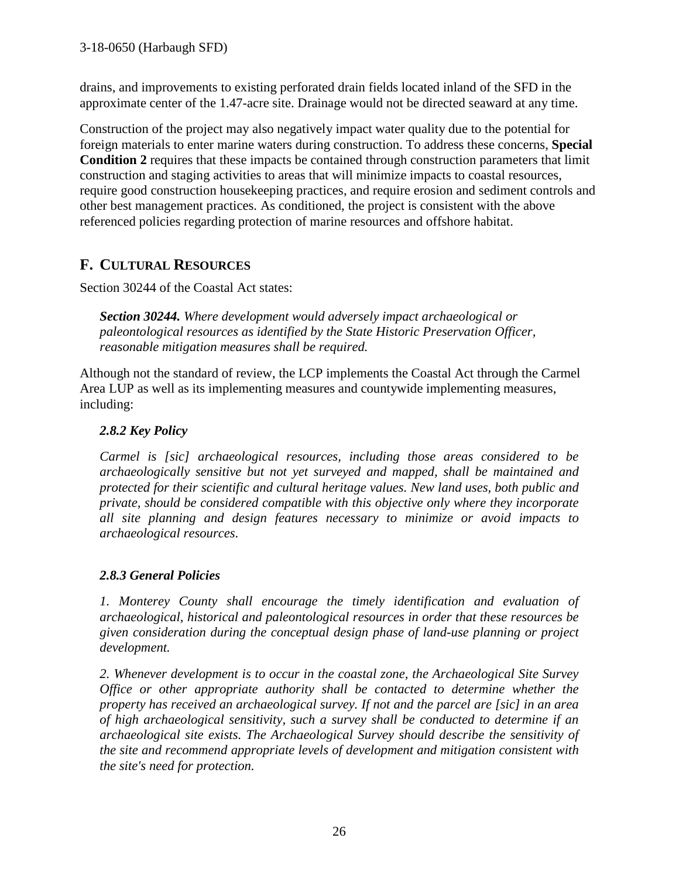drains, and improvements to existing perforated drain fields located inland of the SFD in the approximate center of the 1.47-acre site. Drainage would not be directed seaward at any time.

Construction of the project may also negatively impact water quality due to the potential for foreign materials to enter marine waters during construction. To address these concerns, **Special Condition 2** requires that these impacts be contained through construction parameters that limit construction and staging activities to areas that will minimize impacts to coastal resources, require good construction housekeeping practices, and require erosion and sediment controls and other best management practices. As conditioned, the project is consistent with the above referenced policies regarding protection of marine resources and offshore habitat.

# **F. CULTURAL RESOURCES**

Section 30244 of the Coastal Act states:

*Section 30244. Where development would adversely impact archaeological or paleontological resources as identified by the State Historic Preservation Officer, reasonable mitigation measures shall be required.* 

Although not the standard of review, the LCP implements the Coastal Act through the Carmel Area LUP as well as its implementing measures and countywide implementing measures, including:

### *2.8.2 Key Policy*

*Carmel is [sic] archaeological resources, including those areas considered to be archaeologically sensitive but not yet surveyed and mapped, shall be maintained and protected for their scientific and cultural heritage values. New land uses, both public and private, should be considered compatible with this objective only where they incorporate all site planning and design features necessary to minimize or avoid impacts to archaeological resources.* 

### *2.8.3 General Policies*

*1. Monterey County shall encourage the timely identification and evaluation of archaeological, historical and paleontological resources in order that these resources be given consideration during the conceptual design phase of land-use planning or project development.*

*2. Whenever development is to occur in the coastal zone, the Archaeological Site Survey Office or other appropriate authority shall be contacted to determine whether the property has received an archaeological survey. If not and the parcel are [sic] in an area of high archaeological sensitivity, such a survey shall be conducted to determine if an archaeological site exists. The Archaeological Survey should describe the sensitivity of the site and recommend appropriate levels of development and mitigation consistent with the site's need for protection.*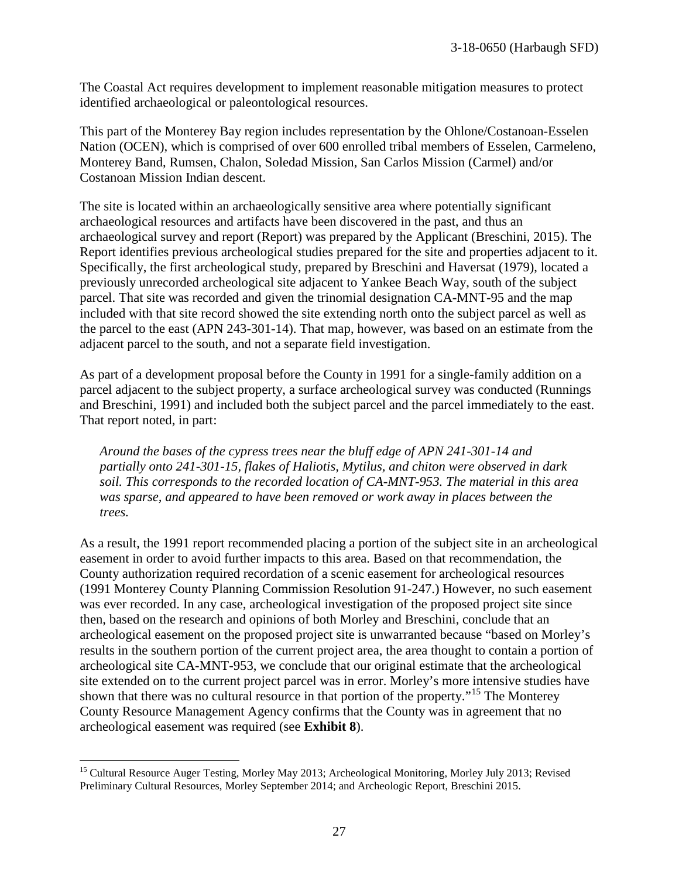The Coastal Act requires development to implement reasonable mitigation measures to protect identified archaeological or paleontological resources.

This part of the Monterey Bay region includes representation by the Ohlone/Costanoan-Esselen Nation (OCEN), which is comprised of over 600 enrolled tribal members of Esselen, Carmeleno, Monterey Band, Rumsen, Chalon, Soledad Mission, San Carlos Mission (Carmel) and/or Costanoan Mission Indian descent.

The site is located within an archaeologically sensitive area where potentially significant archaeological resources and artifacts have been discovered in the past, and thus an archaeological survey and report (Report) was prepared by the Applicant (Breschini, 2015). The Report identifies previous archeological studies prepared for the site and properties adjacent to it. Specifically, the first archeological study, prepared by Breschini and Haversat (1979), located a previously unrecorded archeological site adjacent to Yankee Beach Way, south of the subject parcel. That site was recorded and given the trinomial designation CA-MNT-95 and the map included with that site record showed the site extending north onto the subject parcel as well as the parcel to the east (APN 243-301-14). That map, however, was based on an estimate from the adjacent parcel to the south, and not a separate field investigation.

As part of a development proposal before the County in 1991 for a single-family addition on a parcel adjacent to the subject property, a surface archeological survey was conducted (Runnings and Breschini, 1991) and included both the subject parcel and the parcel immediately to the east. That report noted, in part:

*Around the bases of the cypress trees near the bluff edge of APN 241-301-14 and partially onto 241-301-15, flakes of Haliotis, Mytilus, and chiton were observed in dark soil. This corresponds to the recorded location of CA-MNT-953. The material in this area was sparse, and appeared to have been removed or work away in places between the trees.* 

As a result, the 1991 report recommended placing a portion of the subject site in an archeological easement in order to avoid further impacts to this area. Based on that recommendation, the County authorization required recordation of a scenic easement for archeological resources (1991 Monterey County Planning Commission Resolution 91-247.) However, no such easement was ever recorded. In any case, archeological investigation of the proposed project site since then, based on the research and opinions of both Morley and Breschini, conclude that an archeological easement on the proposed project site is unwarranted because "based on Morley's results in the southern portion of the current project area, the area thought to contain a portion of archeological site CA-MNT-953, we conclude that our original estimate that the archeological site extended on to the current project parcel was in error. Morley's more intensive studies have shown that there was no cultural resource in that portion of the property."[15](#page-26-0) The Monterey County Resource Management Agency confirms that the County was in agreement that no archeological easement was required (see **Exhibit 8**).

<span id="page-26-0"></span> $\overline{a}$ <sup>15</sup> Cultural Resource Auger Testing, Morley May 2013; Archeological Monitoring, Morley July 2013; Revised Preliminary Cultural Resources, Morley September 2014; and Archeologic Report, Breschini 2015.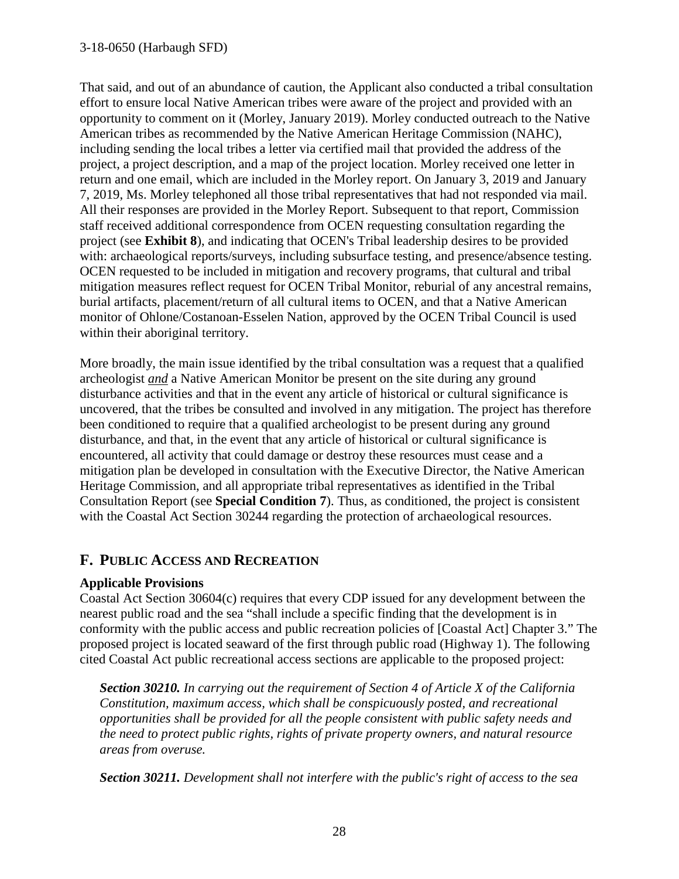#### 3-18-0650 (Harbaugh SFD)

That said, and out of an abundance of caution, the Applicant also conducted a tribal consultation effort to ensure local Native American tribes were aware of the project and provided with an opportunity to comment on it (Morley, January 2019). Morley conducted outreach to the Native American tribes as recommended by the Native American Heritage Commission (NAHC), including sending the local tribes a letter via certified mail that provided the address of the project, a project description, and a map of the project location. Morley received one letter in return and one email, which are included in the Morley report. On January 3, 2019 and January 7, 2019, Ms. Morley telephoned all those tribal representatives that had not responded via mail. All their responses are provided in the Morley Report. Subsequent to that report, Commission staff received additional correspondence from OCEN requesting consultation regarding the project (see **Exhibit 8**), and indicating that OCEN's Tribal leadership desires to be provided with: archaeological reports/surveys, including subsurface testing, and presence/absence testing. OCEN requested to be included in mitigation and recovery programs, that cultural and tribal mitigation measures reflect request for OCEN Tribal Monitor, reburial of any ancestral remains, burial artifacts, placement/return of all cultural items to OCEN, and that a Native American monitor of Ohlone/Costanoan-Esselen Nation, approved by the OCEN Tribal Council is used within their aboriginal territory.

More broadly, the main issue identified by the tribal consultation was a request that a qualified archeologist *and* a Native American Monitor be present on the site during any ground disturbance activities and that in the event any article of historical or cultural significance is uncovered, that the tribes be consulted and involved in any mitigation. The project has therefore been conditioned to require that a qualified archeologist to be present during any ground disturbance, and that, in the event that any article of historical or cultural significance is encountered, all activity that could damage or destroy these resources must cease and a mitigation plan be developed in consultation with the Executive Director, the Native American Heritage Commission, and all appropriate tribal representatives as identified in the Tribal Consultation Report (see **Special Condition 7**). Thus, as conditioned, the project is consistent with the Coastal Act Section 30244 regarding the protection of archaeological resources.

## **F. PUBLIC ACCESS AND RECREATION**

#### **Applicable Provisions**

Coastal Act Section 30604(c) requires that every CDP issued for any development between the nearest public road and the sea "shall include a specific finding that the development is in conformity with the public access and public recreation policies of [Coastal Act] Chapter 3." The proposed project is located seaward of the first through public road (Highway 1). The following cited Coastal Act public recreational access sections are applicable to the proposed project:

*Section 30210. In carrying out the requirement of Section 4 of Article X of the California Constitution, maximum access, which shall be conspicuously posted, and recreational opportunities shall be provided for all the people consistent with public safety needs and the need to protect public rights, rights of private property owners, and natural resource areas from overuse.* 

*Section 30211. Development shall not interfere with the public's right of access to the sea*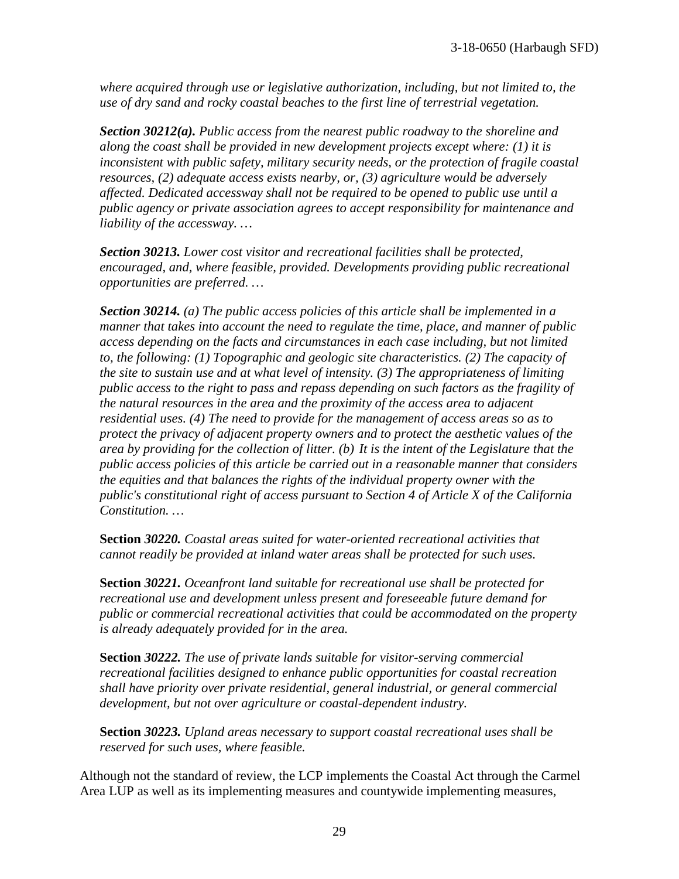*where acquired through use or legislative authorization, including, but not limited to, the use of dry sand and rocky coastal beaches to the first line of terrestrial vegetation.* 

*Section 30212(a). Public access from the nearest public roadway to the shoreline and along the coast shall be provided in new development projects except where: (1) it is inconsistent with public safety, military security needs, or the protection of fragile coastal resources, (2) adequate access exists nearby, or, (3) agriculture would be adversely affected. Dedicated accessway shall not be required to be opened to public use until a public agency or private association agrees to accept responsibility for maintenance and liability of the accessway. …*

*Section 30213. Lower cost visitor and recreational facilities shall be protected, encouraged, and, where feasible, provided. Developments providing public recreational opportunities are preferred. …*

*Section 30214. (a) The public access policies of this article shall be implemented in a manner that takes into account the need to regulate the time, place, and manner of public access depending on the facts and circumstances in each case including, but not limited to, the following: (1) Topographic and geologic site characteristics. (2) The capacity of the site to sustain use and at what level of intensity. (3) The appropriateness of limiting public access to the right to pass and repass depending on such factors as the fragility of the natural resources in the area and the proximity of the access area to adjacent residential uses. (4) The need to provide for the management of access areas so as to protect the privacy of adjacent property owners and to protect the aesthetic values of the area by providing for the collection of litter. (b) It is the intent of the Legislature that the public access policies of this article be carried out in a reasonable manner that considers the equities and that balances the rights of the individual property owner with the public's constitutional right of access pursuant to Section 4 of Article X of the California Constitution. …*

**Section** *30220. Coastal areas suited for water-oriented recreational activities that cannot readily be provided at inland water areas shall be protected for such uses.* 

**Section** *30221. Oceanfront land suitable for recreational use shall be protected for recreational use and development unless present and foreseeable future demand for public or commercial recreational activities that could be accommodated on the property is already adequately provided for in the area.* 

**Section** *30222. The use of private lands suitable for visitor-serving commercial recreational facilities designed to enhance public opportunities for coastal recreation shall have priority over private residential, general industrial, or general commercial development, but not over agriculture or coastal-dependent industry.* 

**Section** *30223. Upland areas necessary to support coastal recreational uses shall be reserved for such uses, where feasible.*

Although not the standard of review, the LCP implements the Coastal Act through the Carmel Area LUP as well as its implementing measures and countywide implementing measures,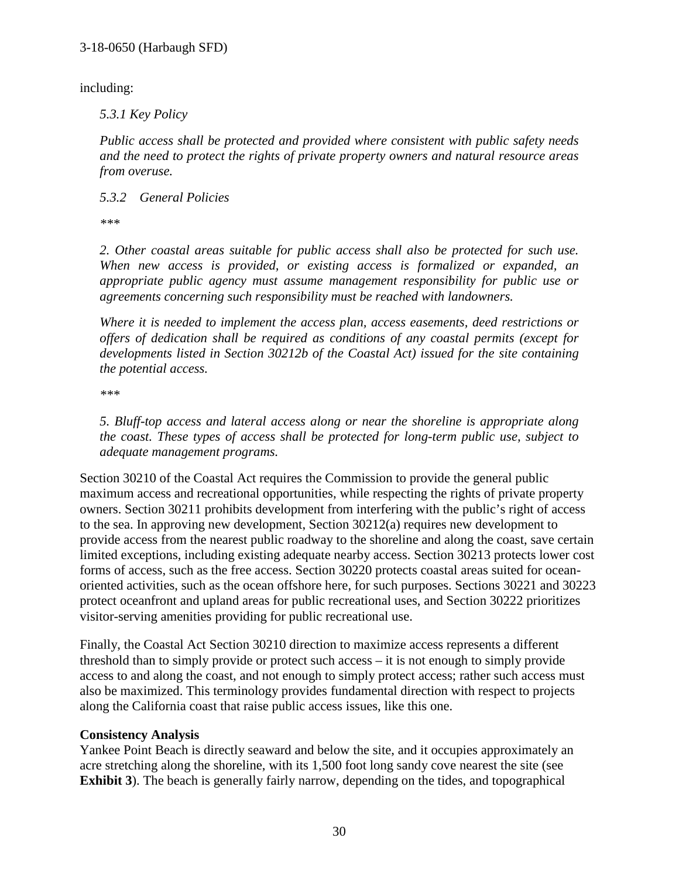including:

#### *5.3.1 Key Policy*

*Public access shall be protected and provided where consistent with public safety needs and the need to protect the rights of private property owners and natural resource areas from overuse.*

*5.3.2 General Policies*

*\*\*\** 

*2. Other coastal areas suitable for public access shall also be protected for such use. When new access is provided, or existing access is formalized or expanded, an appropriate public agency must assume management responsibility for public use or agreements concerning such responsibility must be reached with landowners.* 

*Where it is needed to implement the access plan, access easements, deed restrictions or offers of dedication shall be required as conditions of any coastal permits (except for developments listed in Section 30212b of the Coastal Act) issued for the site containing the potential access.* 

*\*\*\** 

*5. Bluff-top access and lateral access along or near the shoreline is appropriate along the coast. These types of access shall be protected for long-term public use, subject to adequate management programs.* 

Section 30210 of the Coastal Act requires the Commission to provide the general public maximum access and recreational opportunities, while respecting the rights of private property owners. Section 30211 prohibits development from interfering with the public's right of access to the sea. In approving new development, Section 30212(a) requires new development to provide access from the nearest public roadway to the shoreline and along the coast, save certain limited exceptions, including existing adequate nearby access. Section 30213 protects lower cost forms of access, such as the free access. Section 30220 protects coastal areas suited for oceanoriented activities, such as the ocean offshore here, for such purposes. Sections 30221 and 30223 protect oceanfront and upland areas for public recreational uses, and Section 30222 prioritizes visitor-serving amenities providing for public recreational use.

Finally, the Coastal Act Section 30210 direction to maximize access represents a different threshold than to simply provide or protect such access – it is not enough to simply provide access to and along the coast, and not enough to simply protect access; rather such access must also be maximized. This terminology provides fundamental direction with respect to projects along the California coast that raise public access issues, like this one.

#### **Consistency Analysis**

Yankee Point Beach is directly seaward and below the site, and it occupies approximately an acre stretching along the shoreline, with its 1,500 foot long sandy cove nearest the site (see **Exhibit 3**). The beach is generally fairly narrow, depending on the tides, and topographical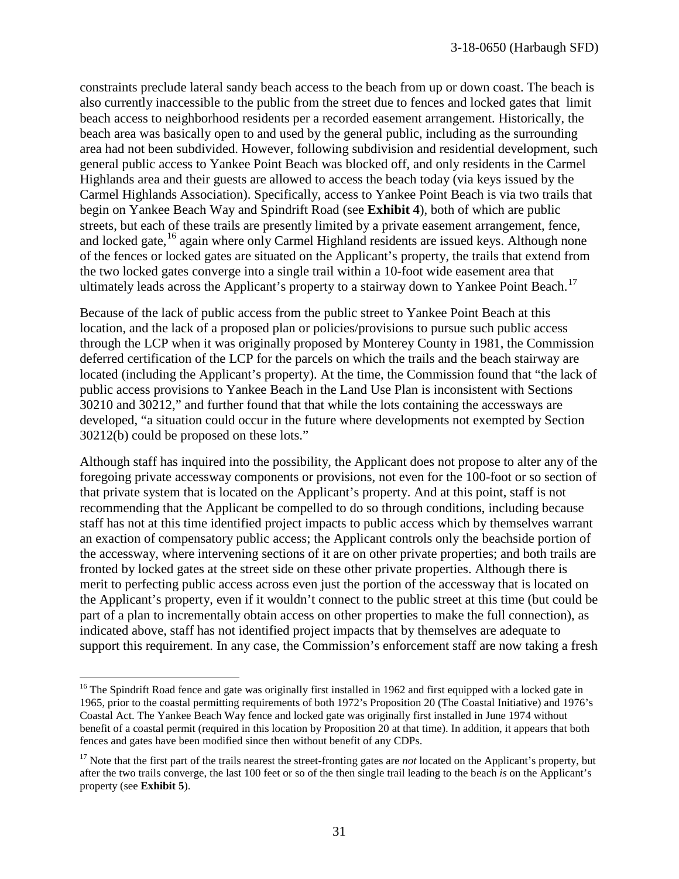constraints preclude lateral sandy beach access to the beach from up or down coast. The beach is also currently inaccessible to the public from the street due to fences and locked gates that limit beach access to neighborhood residents per a recorded easement arrangement. Historically, the beach area was basically open to and used by the general public, including as the surrounding area had not been subdivided. However, following subdivision and residential development, such general public access to Yankee Point Beach was blocked off, and only residents in the Carmel Highlands area and their guests are allowed to access the beach today (via keys issued by the Carmel Highlands Association). Specifically, access to Yankee Point Beach is via two trails that begin on Yankee Beach Way and Spindrift Road (see **Exhibit 4**), both of which are public streets, but each of these trails are presently limited by a private easement arrangement, fence, and locked gate,<sup>[16](#page-30-0)</sup> again where only Carmel Highland residents are issued keys. Although none of the fences or locked gates are situated on the Applicant's property, the trails that extend from the two locked gates converge into a single trail within a 10-foot wide easement area that ultimately leads across the Applicant's property to a stairway down to Yankee Point Beach.<sup>17</sup>

Because of the lack of public access from the public street to Yankee Point Beach at this location, and the lack of a proposed plan or policies/provisions to pursue such public access through the LCP when it was originally proposed by Monterey County in 1981, the Commission deferred certification of the LCP for the parcels on which the trails and the beach stairway are located (including the Applicant's property). At the time, the Commission found that "the lack of public access provisions to Yankee Beach in the Land Use Plan is inconsistent with Sections 30210 and 30212," and further found that that while the lots containing the accessways are developed, "a situation could occur in the future where developments not exempted by Section 30212(b) could be proposed on these lots."

Although staff has inquired into the possibility, the Applicant does not propose to alter any of the foregoing private accessway components or provisions, not even for the 100-foot or so section of that private system that is located on the Applicant's property. And at this point, staff is not recommending that the Applicant be compelled to do so through conditions, including because staff has not at this time identified project impacts to public access which by themselves warrant an exaction of compensatory public access; the Applicant controls only the beachside portion of the accessway, where intervening sections of it are on other private properties; and both trails are fronted by locked gates at the street side on these other private properties. Although there is merit to perfecting public access across even just the portion of the accessway that is located on the Applicant's property, even if it wouldn't connect to the public street at this time (but could be part of a plan to incrementally obtain access on other properties to make the full connection), as indicated above, staff has not identified project impacts that by themselves are adequate to support this requirement. In any case, the Commission's enforcement staff are now taking a fresh

<span id="page-30-0"></span> $\overline{a}$ <sup>16</sup> The Spindrift Road fence and gate was originally first installed in 1962 and first equipped with a locked gate in 1965, prior to the coastal permitting requirements of both 1972's Proposition 20 (The Coastal Initiative) and 1976's Coastal Act. The Yankee Beach Way fence and locked gate was originally first installed in June 1974 without benefit of a coastal permit (required in this location by Proposition 20 at that time). In addition, it appears that both fences and gates have been modified since then without benefit of any CDPs.

<span id="page-30-1"></span><sup>&</sup>lt;sup>17</sup> Note that the first part of the trails nearest the street-fronting gates are *not* located on the Applicant's property, but after the two trails converge, the last 100 feet or so of the then single trail leading to the beach *is* on the Applicant's property (see **Exhibit 5**).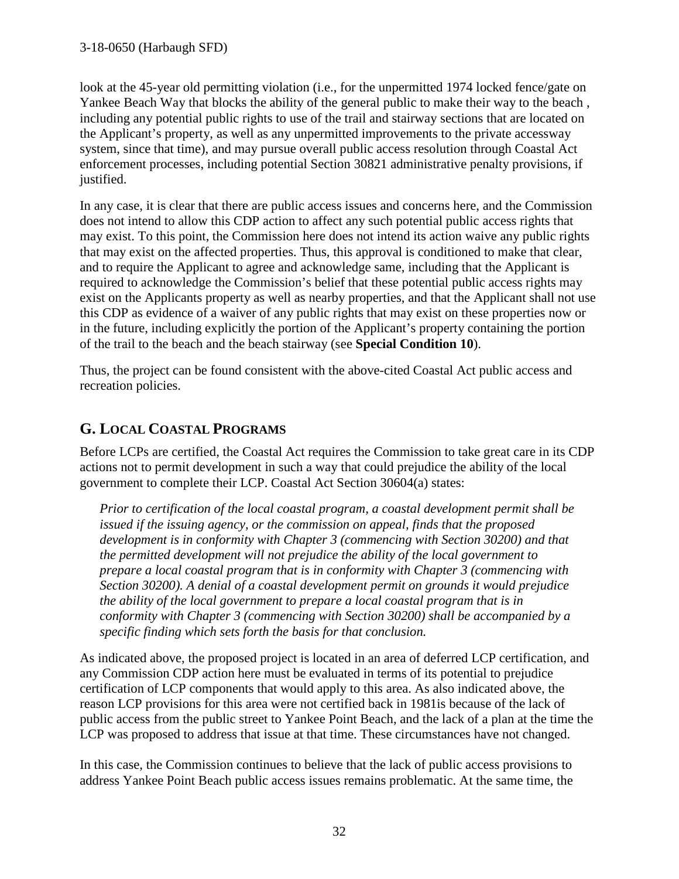look at the 45-year old permitting violation (i.e., for the unpermitted 1974 locked fence/gate on Yankee Beach Way that blocks the ability of the general public to make their way to the beach , including any potential public rights to use of the trail and stairway sections that are located on the Applicant's property, as well as any unpermitted improvements to the private accessway system, since that time), and may pursue overall public access resolution through Coastal Act enforcement processes, including potential Section 30821 administrative penalty provisions, if justified.

In any case, it is clear that there are public access issues and concerns here, and the Commission does not intend to allow this CDP action to affect any such potential public access rights that may exist. To this point, the Commission here does not intend its action waive any public rights that may exist on the affected properties. Thus, this approval is conditioned to make that clear, and to require the Applicant to agree and acknowledge same, including that the Applicant is required to acknowledge the Commission's belief that these potential public access rights may exist on the Applicants property as well as nearby properties, and that the Applicant shall not use this CDP as evidence of a waiver of any public rights that may exist on these properties now or in the future, including explicitly the portion of the Applicant's property containing the portion of the trail to the beach and the beach stairway (see **Special Condition 10**).

Thus, the project can be found consistent with the above-cited Coastal Act public access and recreation policies.

# **G. LOCAL COASTAL PROGRAMS**

Before LCPs are certified, the Coastal Act requires the Commission to take great care in its CDP actions not to permit development in such a way that could prejudice the ability of the local government to complete their LCP. Coastal Act Section 30604(a) states:

*Prior to certification of the local coastal program, a coastal development permit shall be issued if the issuing agency, or the commission on appeal, finds that the proposed development is in conformity with Chapter 3 (commencing with Section 30200) and that the permitted development will not prejudice the ability of the local government to prepare a local coastal program that is in conformity with Chapter 3 (commencing with Section 30200). A denial of a coastal development permit on grounds it would prejudice the ability of the local government to prepare a local coastal program that is in conformity with Chapter 3 (commencing with Section 30200) shall be accompanied by a specific finding which sets forth the basis for that conclusion.* 

As indicated above, the proposed project is located in an area of deferred LCP certification, and any Commission CDP action here must be evaluated in terms of its potential to prejudice certification of LCP components that would apply to this area. As also indicated above, the reason LCP provisions for this area were not certified back in 1981is because of the lack of public access from the public street to Yankee Point Beach, and the lack of a plan at the time the LCP was proposed to address that issue at that time. These circumstances have not changed.

In this case, the Commission continues to believe that the lack of public access provisions to address Yankee Point Beach public access issues remains problematic. At the same time, the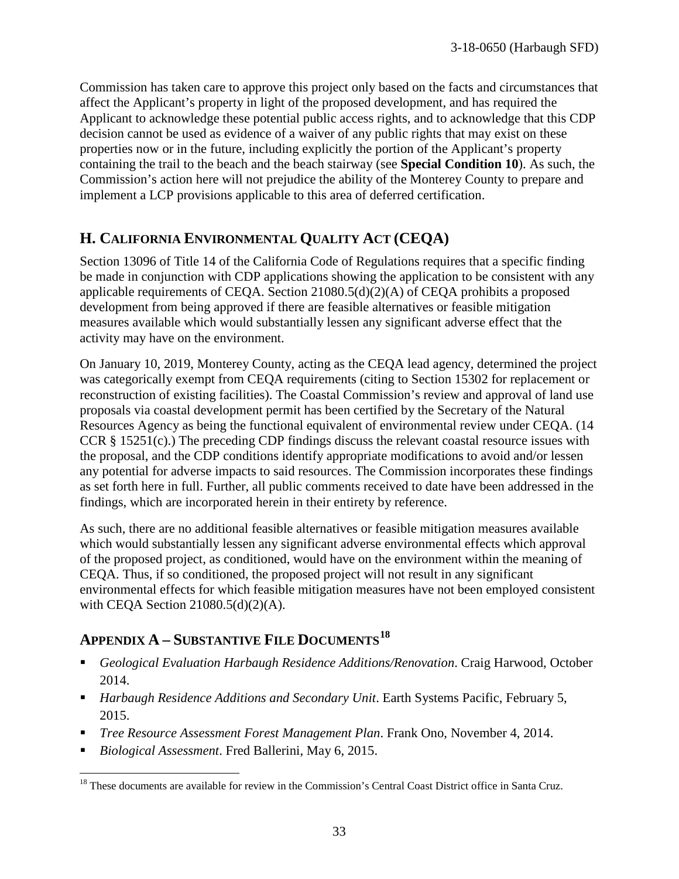Commission has taken care to approve this project only based on the facts and circumstances that affect the Applicant's property in light of the proposed development, and has required the Applicant to acknowledge these potential public access rights, and to acknowledge that this CDP decision cannot be used as evidence of a waiver of any public rights that may exist on these properties now or in the future, including explicitly the portion of the Applicant's property containing the trail to the beach and the beach stairway (see **Special Condition 10**). As such, the Commission's action here will not prejudice the ability of the Monterey County to prepare and implement a LCP provisions applicable to this area of deferred certification.

# **H. CALIFORNIA ENVIRONMENTAL QUALITY ACT (CEQA)**

Section 13096 of Title 14 of the California Code of Regulations requires that a specific finding be made in conjunction with CDP applications showing the application to be consistent with any applicable requirements of CEQA. Section 21080.5(d)(2)(A) of CEQA prohibits a proposed development from being approved if there are feasible alternatives or feasible mitigation measures available which would substantially lessen any significant adverse effect that the activity may have on the environment.

On January 10, 2019, Monterey County, acting as the CEQA lead agency, determined the project was categorically exempt from CEQA requirements (citing to Section 15302 for replacement or reconstruction of existing facilities). The Coastal Commission's review and approval of land use proposals via coastal development permit has been certified by the Secretary of the Natural Resources Agency as being the functional equivalent of environmental review under CEQA. (14 CCR § 15251(c).) The preceding CDP findings discuss the relevant coastal resource issues with the proposal, and the CDP conditions identify appropriate modifications to avoid and/or lessen any potential for adverse impacts to said resources. The Commission incorporates these findings as set forth here in full. Further, all public comments received to date have been addressed in the findings, which are incorporated herein in their entirety by reference.

As such, there are no additional feasible alternatives or feasible mitigation measures available which would substantially lessen any significant adverse environmental effects which approval of the proposed project, as conditioned, would have on the environment within the meaning of CEQA. Thus, if so conditioned, the proposed project will not result in any significant environmental effects for which feasible mitigation measures have not been employed consistent with CEQA Section 21080.5(d)(2)(A).

# **APPENDIX A – SUBSTANTIVE FILE DOCUMENTS[18](#page-32-0)**

- *Geological Evaluation Harbaugh Residence Additions/Renovation*. Craig Harwood, October 2014.
- *Harbaugh Residence Additions and Secondary Unit*. Earth Systems Pacific, February 5, 2015.
- *Tree Resource Assessment Forest Management Plan*. Frank Ono, November 4, 2014.
- *Biological Assessment*. Fred Ballerini, May 6, 2015.

<span id="page-32-0"></span> $\overline{a}$ <sup>18</sup> These documents are available for review in the Commission's Central Coast District office in Santa Cruz.